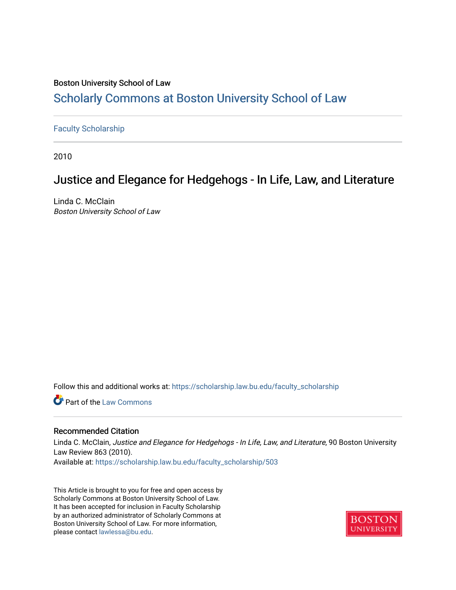# Boston University School of Law

# [Scholarly Commons at Boston University School of Law](https://scholarship.law.bu.edu/)

# [Faculty Scholarship](https://scholarship.law.bu.edu/faculty_scholarship)

2010

# Justice and Elegance for Hedgehogs - In Life, Law, and Literature

Linda C. McClain Boston University School of Law

Follow this and additional works at: [https://scholarship.law.bu.edu/faculty\\_scholarship](https://scholarship.law.bu.edu/faculty_scholarship?utm_source=scholarship.law.bu.edu%2Ffaculty_scholarship%2F503&utm_medium=PDF&utm_campaign=PDFCoverPages)

**C** Part of the [Law Commons](http://network.bepress.com/hgg/discipline/578?utm_source=scholarship.law.bu.edu%2Ffaculty_scholarship%2F503&utm_medium=PDF&utm_campaign=PDFCoverPages)

# Recommended Citation

Linda C. McClain, Justice and Elegance for Hedgehogs - In Life, Law, and Literature, 90 Boston University Law Review 863 (2010). Available at: [https://scholarship.law.bu.edu/faculty\\_scholarship/503](https://scholarship.law.bu.edu/faculty_scholarship/503?utm_source=scholarship.law.bu.edu%2Ffaculty_scholarship%2F503&utm_medium=PDF&utm_campaign=PDFCoverPages) 

This Article is brought to you for free and open access by Scholarly Commons at Boston University School of Law. It has been accepted for inclusion in Faculty Scholarship by an authorized administrator of Scholarly Commons at Boston University School of Law. For more information, please contact [lawlessa@bu.edu](mailto:lawlessa@bu.edu).

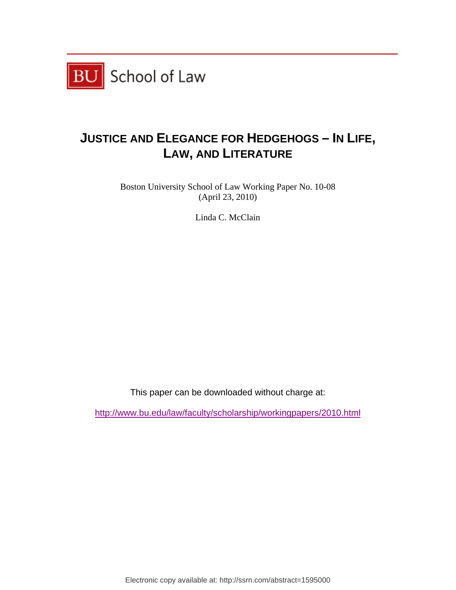

# **JUSTICE AND ELEGANCE FOR HEDGEHOGS – IN LIFE, LAW, AND LITERATURE**

Boston University School of Law Working Paper No. 10-08 (April 23, 2010)

Linda C. McClain

This paper can be downloaded without charge at:

http://www.bu.edu/law/faculty/scholarship/workingpapers/2010.html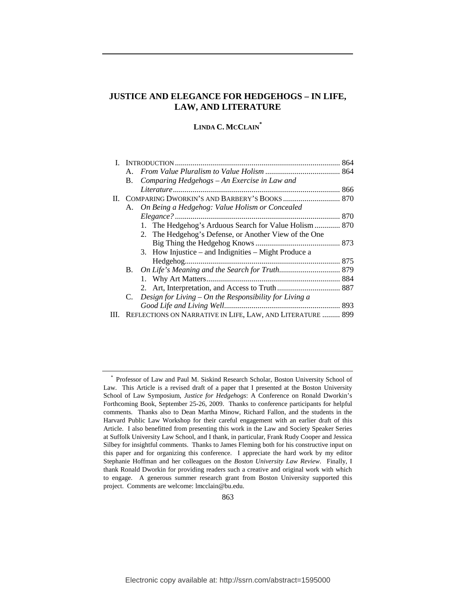# **JUSTICE AND ELEGANCE FOR HEDGEHOGS – IN LIFE, LAW, AND LITERATURE**

# **LINDA C. MCCLAIN\***

|  | Comparing Hedgehogs - An Exercise in Law and<br>B.             |  |
|--|----------------------------------------------------------------|--|
|  |                                                                |  |
|  |                                                                |  |
|  | A. On Being a Hedgehog: Value Holism or Concealed              |  |
|  |                                                                |  |
|  | 1. The Hedgehog's Arduous Search for Value Holism  870         |  |
|  | 2. The Hedgehog's Defense, or Another View of the One          |  |
|  |                                                                |  |
|  | 3. How Injustice – and Indignities – Might Produce a           |  |
|  |                                                                |  |
|  |                                                                |  |
|  |                                                                |  |
|  |                                                                |  |
|  | Design for Living $-$ On the Responsibility for Living a<br>C. |  |
|  |                                                                |  |
|  | REFLECTIONS ON NARRATIVE IN LIFE, LAW, AND LITERATURE  899     |  |

<sup>\*</sup> Professor of Law and Paul M. Siskind Research Scholar, Boston University School of Law. This Article is a revised draft of a paper that I presented at the Boston University School of Law Symposium, *Justice for Hedgehogs*: A Conference on Ronald Dworkin's Forthcoming Book, September 25-26, 2009. Thanks to conference participants for helpful comments. Thanks also to Dean Martha Minow, Richard Fallon, and the students in the Harvard Public Law Workshop for their careful engagement with an earlier draft of this Article. I also benefitted from presenting this work in the Law and Society Speaker Series at Suffolk University Law School, and I thank, in particular, Frank Rudy Cooper and Jessica Silbey for insightful comments. Thanks to James Fleming both for his constructive input on this paper and for organizing this conference. I appreciate the hard work by my editor Stephanie Hoffman and her colleagues on the *Boston University Law Review*. Finally, I thank Ronald Dworkin for providing readers such a creative and original work with which to engage. A generous summer research grant from Boston University supported this project. Comments are welcome: lmcclain@bu.edu.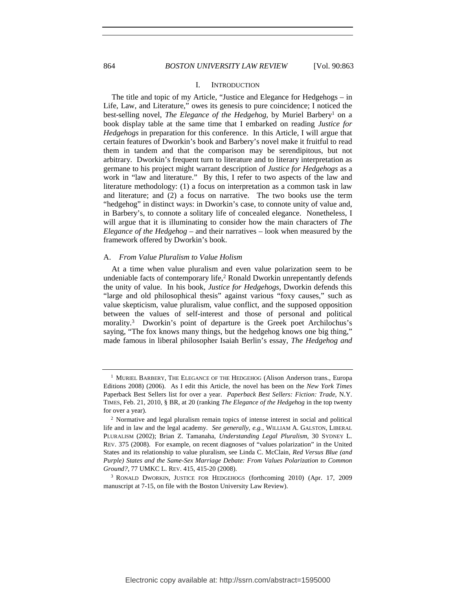#### 864 *BOSTON UNIVERSITY LAW REVIEW* [Vol. 90:863

### I. INTRODUCTION

The title and topic of my Article, "Justice and Elegance for Hedgehogs – in Life, Law, and Literature," owes its genesis to pure coincidence; I noticed the best-selling novel, *The Elegance of the Hedgehog*, by Muriel Barbery<sup>1</sup> on a book display table at the same time that I embarked on reading *Justice for Hedgehogs* in preparation for this conference. In this Article, I will argue that certain features of Dworkin's book and Barbery's novel make it fruitful to read them in tandem and that the comparison may be serendipitous, but not arbitrary. Dworkin's frequent turn to literature and to literary interpretation as germane to his project might warrant description of *Justice for Hedgehogs* as a work in "law and literature." By this, I refer to two aspects of the law and literature methodology: (1) a focus on interpretation as a common task in law and literature; and (2) a focus on narrative. The two books use the term "hedgehog" in distinct ways: in Dworkin's case, to connote unity of value and, in Barbery's, to connote a solitary life of concealed elegance. Nonetheless, I will argue that it is illuminating to consider how the main characters of *The Elegance of the Hedgehog* – and their narratives – look when measured by the framework offered by Dworkin's book.

#### A. *From Value Pluralism to Value Holism*

At a time when value pluralism and even value polarization seem to be undeniable facts of contemporary life,<sup>2</sup> Ronald Dworkin unrepentantly defends the unity of value. In his book, *Justice for Hedgehogs*, Dworkin defends this "large and old philosophical thesis" against various "foxy causes," such as value skepticism, value pluralism, value conflict, and the supposed opposition between the values of self-interest and those of personal and political morality.3 Dworkin's point of departure is the Greek poet Archilochus's saying, "The fox knows many things, but the hedgehog knows one big thing," made famous in liberal philosopher Isaiah Berlin's essay, *The Hedgehog and* 

<sup>&</sup>lt;sup>1</sup> MURIEL BARBERY, THE ELEGANCE OF THE HEDGEHOG (Alison Anderson trans., Europa Editions 2008) (2006). As I edit this Article, the novel has been on the *New York Times* Paperback Best Sellers list for over a year. *Paperback Best Sellers: Fiction: Trade*, N.Y. TIMES, Feb. 21, 2010, § BR, at 20 (ranking *The Elegance of the Hedgehog* in the top twenty for over a year).

<sup>2</sup> Normative and legal pluralism remain topics of intense interest in social and political life and in law and the legal academy. *See generally, e.g.*, WILLIAM A. GALSTON, LIBERAL PLURALISM (2002); Brian Z. Tamanaha, *Understanding Legal Pluralism*, 30 SYDNEY L. REV. 375 (2008). For example, on recent diagnoses of "values polarization" in the United States and its relationship to value pluralism, see Linda C. McClain, *Red Versus Blue (and Purple) States and the Same-Sex Marriage Debate: From Values Polarization to Common Ground?*, 77 UMKC L. REV. 415, 415-20 (2008).

<sup>3</sup> RONALD DWORKIN, JUSTICE FOR HEDGEHOGS (forthcoming 2010) (Apr. 17, 2009 manuscript at 7-15, on file with the Boston University Law Review).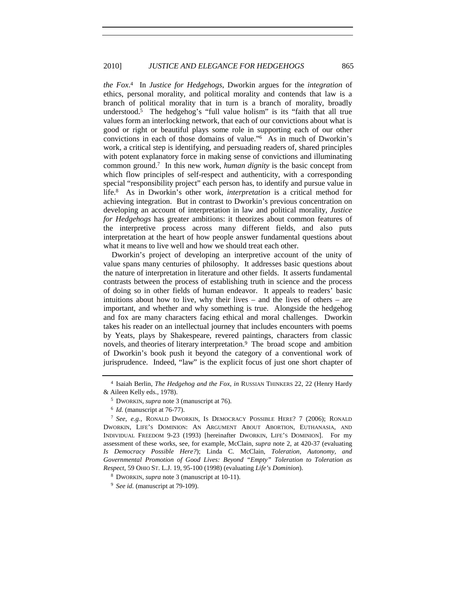*the Fox*. 4 In *Justice for Hedgehogs*, Dworkin argues for the *integration* of ethics, personal morality, and political morality and contends that law is a branch of political morality that in turn is a branch of morality, broadly understood.<sup>5</sup> The hedgehog's "full value holism" is its "faith that all true values form an interlocking network, that each of our convictions about what is good or right or beautiful plays some role in supporting each of our other convictions in each of those domains of value."6 As in much of Dworkin's work, a critical step is identifying, and persuading readers of, shared principles with potent explanatory force in making sense of convictions and illuminating common ground.7 In this new work, *human dignity* is the basic concept from which flow principles of self-respect and authenticity, with a corresponding special "responsibility project" each person has, to identify and pursue value in life.8 As in Dworkin's other work, *interpretation* is a critical method for achieving integration. But in contrast to Dworkin's previous concentration on developing an account of interpretation in law and political morality, *Justice for Hedgehogs* has greater ambitions: it theorizes about common features of the interpretive process across many different fields, and also puts interpretation at the heart of how people answer fundamental questions about what it means to live well and how we should treat each other.

Dworkin's project of developing an interpretive account of the unity of value spans many centuries of philosophy. It addresses basic questions about the nature of interpretation in literature and other fields. It asserts fundamental contrasts between the process of establishing truth in science and the process of doing so in other fields of human endeavor. It appeals to readers' basic intuitions about how to live, why their lives – and the lives of others – are important, and whether and why something is true. Alongside the hedgehog and fox are many characters facing ethical and moral challenges. Dworkin takes his reader on an intellectual journey that includes encounters with poems by Yeats, plays by Shakespeare, revered paintings, characters from classic novels, and theories of literary interpretation.<sup>9</sup> The broad scope and ambition of Dworkin's book push it beyond the category of a conventional work of jurisprudence. Indeed, "law" is the explicit focus of just one short chapter of

<sup>4</sup> Isaiah Berlin, *The Hedgehog and the Fox*, *in* RUSSIAN THINKERS 22, 22 (Henry Hardy & Aileen Kelly eds., 1978).

<sup>5</sup> DWORKIN, *supra* note 3 (manuscript at 76).

<sup>&</sup>lt;sup>6</sup> *Id.* (manuscript at 76-77).

<sup>7</sup> *See, e.g.*, RONALD DWORKIN, IS DEMOCRACY POSSIBLE HERE? 7 (2006); RONALD DWORKIN, LIFE'S DOMINION: AN ARGUMENT ABOUT ABORTION, EUTHANASIA, AND INDIVIDUAL FREEDOM 9-23 (1993) [hereinafter DWORKIN, LIFE'S DOMINION]. For my assessment of these works, see, for example, McClain, *supra* note 2, at 420-37 (evaluating *Is Democracy Possible Here?*); Linda C. McClain, *Toleration, Autonomy, and Governmental Promotion of Good Lives: Beyond "Empty" Toleration to Toleration as Respect*, 59 OHIO ST. L.J. 19, 95-100 (1998) (evaluating *Life's Dominion*).

<sup>8</sup> DWORKIN, *supra* note 3 (manuscript at 10-11).

<sup>9</sup> *See id.* (manuscript at 79-109).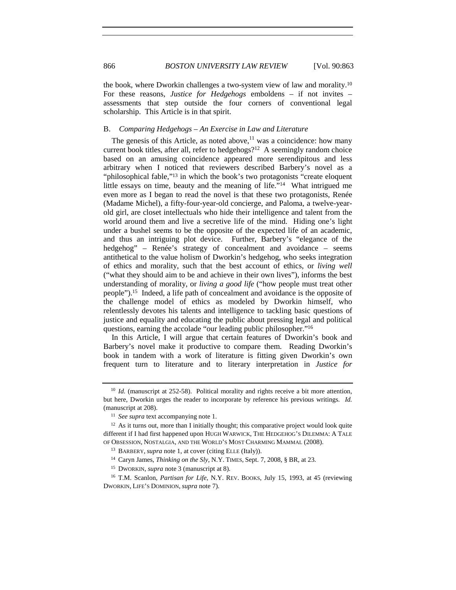the book, where Dworkin challenges a two-system view of law and morality.10 For these reasons, *Justice for Hedgehogs* emboldens – if not invites – assessments that step outside the four corners of conventional legal scholarship. This Article is in that spirit.

# B. *Comparing Hedgehogs – An Exercise in Law and Literature*

The genesis of this Article, as noted above, $11$  was a coincidence: how many current book titles, after all, refer to hedgehogs?<sup>12</sup> A seemingly random choice based on an amusing coincidence appeared more serendipitous and less arbitrary when I noticed that reviewers described Barbery's novel as a "philosophical fable,"<sup>13</sup> in which the book's two protagonists "create eloquent" little essays on time, beauty and the meaning of life."14 What intrigued me even more as I began to read the novel is that these two protagonists, Renée (Madame Michel), a fifty-four-year-old concierge, and Paloma, a twelve-yearold girl, are closet intellectuals who hide their intelligence and talent from the world around them and live a secretive life of the mind. Hiding one's light under a bushel seems to be the opposite of the expected life of an academic, and thus an intriguing plot device. Further, Barbery's "elegance of the hedgehog" – Renée's strategy of concealment and avoidance – seems antithetical to the value holism of Dworkin's hedgehog, who seeks integration of ethics and morality, such that the best account of ethics, or *living well* ("what they should aim to be and achieve in their own lives"), informs the best understanding of morality, or *living a good life* ("how people must treat other people").15 Indeed, a life path of concealment and avoidance is the opposite of the challenge model of ethics as modeled by Dworkin himself, who relentlessly devotes his talents and intelligence to tackling basic questions of justice and equality and educating the public about pressing legal and political questions, earning the accolade "our leading public philosopher."16

In this Article, I will argue that certain features of Dworkin's book and Barbery's novel make it productive to compare them. Reading Dworkin's book in tandem with a work of literature is fitting given Dworkin's own frequent turn to literature and to literary interpretation in *Justice for* 

<sup>&</sup>lt;sup>10</sup> *Id.* (manuscript at 252-58). Political morality and rights receive a bit more attention, but here, Dworkin urges the reader to incorporate by reference his previous writings. *Id.* (manuscript at 208). 11 *See supra* text accompanying note 1.

 $12$  As it turns out, more than I initially thought; this comparative project would look quite different if I had first happened upon HUGH WARWICK, THE HEDGEHOG'S DILEMMA: A TALE OF OBSESSION, NOSTALGIA, AND THE WORLD'S MOST CHARMING MAMMAL (2008).

<sup>13</sup> BARBERY, *supra* note 1, at cover (citing ELLE (Italy)).

<sup>14</sup> Caryn James, *Thinking on the Sly*, N.Y. TIMES, Sept. 7, 2008, § BR, at 23.

<sup>&</sup>lt;sup>15</sup> Dworkin, *supra* note 3 (manuscript at 8).<br><sup>16</sup> T.M. Scanlon, *Partisan for Life*, N.Y. REV. BOOKS, July 15, 1993, at 45 (reviewing DWORKIN, LIFE'S DOMINION, *supra* note 7).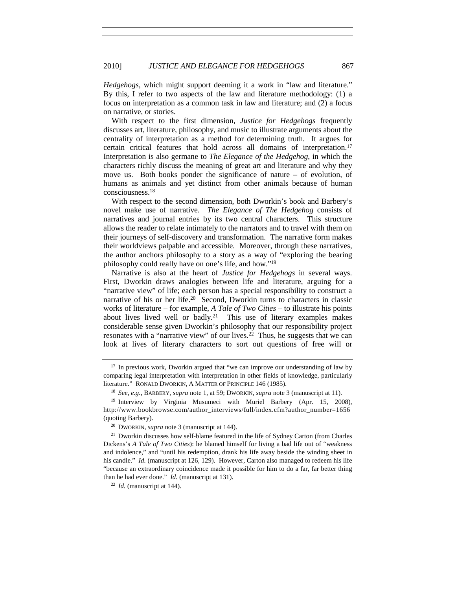*Hedgehogs*, which might support deeming it a work in "law and literature." By this, I refer to two aspects of the law and literature methodology: (1) a focus on interpretation as a common task in law and literature; and (2) a focus on narrative, or stories.

With respect to the first dimension, *Justice for Hedgehogs* frequently discusses art, literature, philosophy, and music to illustrate arguments about the centrality of interpretation as a method for determining truth. It argues for certain critical features that hold across all domains of interpretation.17 Interpretation is also germane to *The Elegance of the Hedgehog*, in which the characters richly discuss the meaning of great art and literature and why they move us. Both books ponder the significance of nature – of evolution, of humans as animals and yet distinct from other animals because of human consciousness.18

With respect to the second dimension, both Dworkin's book and Barbery's novel make use of narrative. *The Elegance of The Hedgehog* consists of narratives and journal entries by its two central characters. This structure allows the reader to relate intimately to the narrators and to travel with them on their journeys of self-discovery and transformation. The narrative form makes their worldviews palpable and accessible. Moreover, through these narratives, the author anchors philosophy to a story as a way of "exploring the bearing philosophy could really have on one's life, and how."19

Narrative is also at the heart of *Justice for Hedgehogs* in several ways. First, Dworkin draws analogies between life and literature, arguing for a "narrative view" of life; each person has a special responsibility to construct a narrative of his or her life.<sup>20</sup> Second, Dworkin turns to characters in classic works of literature – for example, *A Tale of Two Cities* – to illustrate his points about lives lived well or badly.21 This use of literary examples makes considerable sense given Dworkin's philosophy that our responsibility project resonates with a "narrative view" of our lives.<sup>22</sup> Thus, he suggests that we can look at lives of literary characters to sort out questions of free will or

<sup>&</sup>lt;sup>17</sup> In previous work, Dworkin argued that "we can improve our understanding of law by comparing legal interpretation with interpretation in other fields of knowledge, particularly literature." RONALD DWORKIN, A MATTER OF PRINCIPLE 146 (1985).

<sup>18</sup> *See, e.g.*, BARBERY, *supra* note 1, at 59; DWORKIN, *supra* note 3 (manuscript at 11). 19 Interview by Virginia Musumeci with Muriel Barbery (Apr. 15, 2008), http://www.bookbrowse.com/author\_interviews/full/index.cfm?author\_number=1656 (quoting Barbery).

<sup>20</sup> DWORKIN, *supra* note 3 (manuscript at 144).

<sup>&</sup>lt;sup>21</sup> Dworkin discusses how self-blame featured in the life of Sydney Carton (from Charles Dickens's *A Tale of Two Cities*): he blamed himself for living a bad life out of "weakness and indolence," and "until his redemption, drank his life away beside the winding sheet in his candle." *Id.* (manuscript at 126, 129). However, Carton also managed to redeem his life "because an extraordinary coincidence made it possible for him to do a far, far better thing than he had ever done." *Id.* (manuscript at 131). 22 *Id.* (manuscript at 144).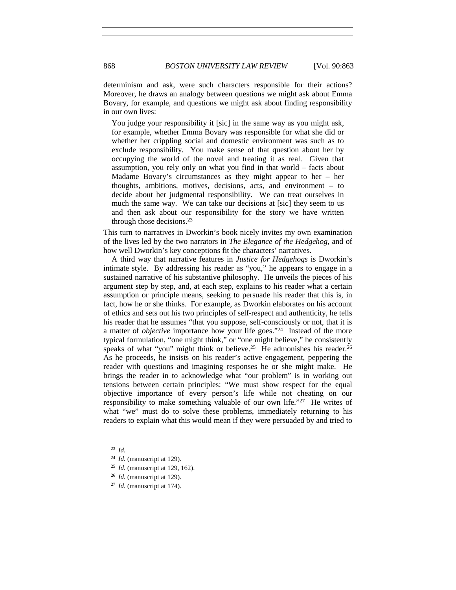determinism and ask, were such characters responsible for their actions? Moreover, he draws an analogy between questions we might ask about Emma Bovary, for example, and questions we might ask about finding responsibility in our own lives:

You judge your responsibility it [sic] in the same way as you might ask, for example, whether Emma Bovary was responsible for what she did or whether her crippling social and domestic environment was such as to exclude responsibility. You make sense of that question about her by occupying the world of the novel and treating it as real. Given that assumption, you rely only on what you find in that world – facts about Madame Bovary's circumstances as they might appear to her – her thoughts, ambitions, motives, decisions, acts, and environment – to decide about her judgmental responsibility. We can treat ourselves in much the same way. We can take our decisions at [sic] they seem to us and then ask about our responsibility for the story we have written through those decisions.23

This turn to narratives in Dworkin's book nicely invites my own examination of the lives led by the two narrators in *The Elegance of the Hedgehog*, and of how well Dworkin's key conceptions fit the characters' narratives.

A third way that narrative features in *Justice for Hedgehogs* is Dworkin's intimate style. By addressing his reader as "you," he appears to engage in a sustained narrative of his substantive philosophy. He unveils the pieces of his argument step by step, and, at each step, explains to his reader what a certain assumption or principle means, seeking to persuade his reader that this is, in fact, how he or she thinks. For example, as Dworkin elaborates on his account of ethics and sets out his two principles of self-respect and authenticity, he tells his reader that he assumes "that you suppose, self-consciously or not, that it is a matter of *objective* importance how your life goes."24 Instead of the more typical formulation, "one might think," or "one might believe," he consistently speaks of what "you" might think or believe.<sup>25</sup> He admonishes his reader.<sup>26</sup> As he proceeds, he insists on his reader's active engagement, peppering the reader with questions and imagining responses he or she might make. He brings the reader in to acknowledge what "our problem" is in working out tensions between certain principles: "We must show respect for the equal objective importance of every person's life while not cheating on our responsibility to make something valuable of our own life."27 He writes of what "we" must do to solve these problems, immediately returning to his readers to explain what this would mean if they were persuaded by and tried to

<sup>23</sup> *Id.*

<sup>24</sup> *Id.* (manuscript at 129).

<sup>25</sup> *Id.* (manuscript at 129, 162).

<sup>26</sup> *Id.* (manuscript at 129).

<sup>27</sup> *Id.* (manuscript at 174).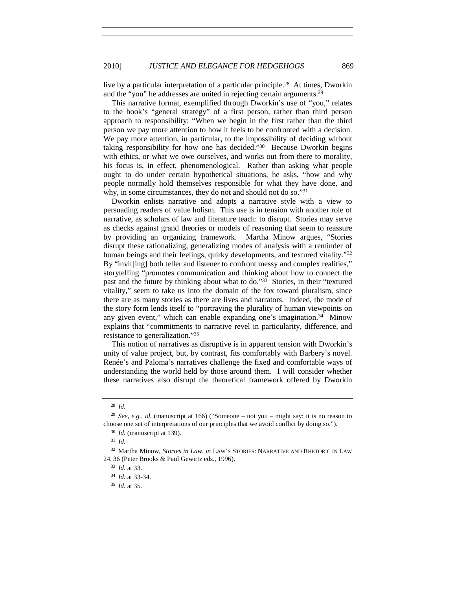live by a particular interpretation of a particular principle.28 At times, Dworkin and the "you" he addresses are united in rejecting certain arguments.29

This narrative format, exemplified through Dworkin's use of "you," relates to the book's "general strategy" of a first person, rather than third person approach to responsibility: "When we begin in the first rather than the third person we pay more attention to how it feels to be confronted with a decision. We pay more attention, in particular, to the impossibility of deciding without taking responsibility for how one has decided."30 Because Dworkin begins with ethics, or what we owe ourselves, and works out from there to morality, his focus is, in effect, phenomenological. Rather than asking what people ought to do under certain hypothetical situations, he asks, "how and why people normally hold themselves responsible for what they have done, and why, in some circumstances, they do not and should not do so."31

Dworkin enlists narrative and adopts a narrative style with a view to persuading readers of value holism. This use is in tension with another role of narrative, as scholars of law and literature teach: to disrupt. Stories may serve as checks against grand theories or models of reasoning that seem to reassure by providing an organizing framework. Martha Minow argues, "Stories disrupt these rationalizing, generalizing modes of analysis with a reminder of human beings and their feelings, quirky developments, and textured vitality."<sup>32</sup> By "invit[ing] both teller and listener to confront messy and complex realities," storytelling "promotes communication and thinking about how to connect the past and the future by thinking about what to do."33 Stories, in their "textured vitality," seem to take us into the domain of the fox toward pluralism, since there are as many stories as there are lives and narrators. Indeed, the mode of the story form lends itself to "portraying the plurality of human viewpoints on any given event," which can enable expanding one's imagination.<sup>34</sup> Minow explains that "commitments to narrative revel in particularity, difference, and resistance to generalization."35

This notion of narratives as disruptive is in apparent tension with Dworkin's unity of value project, but, by contrast, fits comfortably with Barbery's novel. Renée's and Paloma's narratives challenge the fixed and comfortable ways of understanding the world held by those around them. I will consider whether these narratives also disrupt the theoretical framework offered by Dworkin

<sup>28</sup> *Id.*

<sup>29</sup> *See, e.g.*, *id.* (manuscript at 166) ("Someone – not you – might say: it is no reason to choose one set of interpretations of our principles that we avoid conflict by doing so.").

<sup>30</sup> *Id.* (manuscript at 139).

<sup>31</sup> *Id.*

<sup>32</sup> Martha Minow, *Stories in Law*, *in* LAW'S STORIES: NARRATIVE AND RHETORIC IN LAW 24, 36 (Peter Brooks & Paul Gewirtz eds., 1996).

<sup>33</sup> *Id.* at 33.

<sup>34</sup> *Id.* at 33-34.

<sup>35</sup> *Id.* at 35.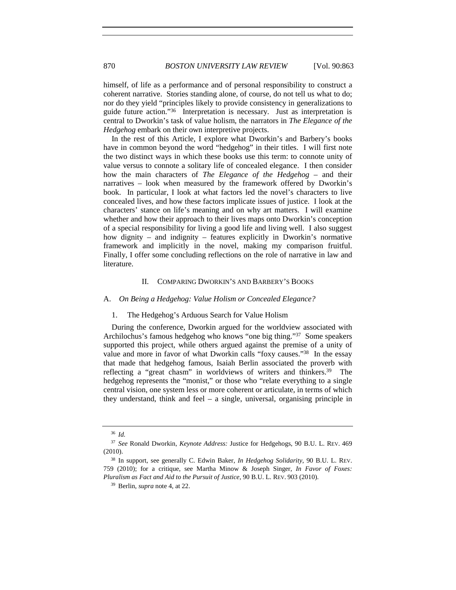himself, of life as a performance and of personal responsibility to construct a coherent narrative. Stories standing alone, of course, do not tell us what to do; nor do they yield "principles likely to provide consistency in generalizations to guide future action."36 Interpretation is necessary. Just as interpretation is central to Dworkin's task of value holism, the narrators in *The Elegance of the Hedgehog* embark on their own interpretive projects.

In the rest of this Article, I explore what Dworkin's and Barbery's books have in common beyond the word "hedgehog" in their titles. I will first note the two distinct ways in which these books use this term: to connote unity of value versus to connote a solitary life of concealed elegance. I then consider how the main characters of *The Elegance of the Hedgehog* – and their narratives – look when measured by the framework offered by Dworkin's book. In particular, I look at what factors led the novel's characters to live concealed lives, and how these factors implicate issues of justice. I look at the characters' stance on life's meaning and on why art matters. I will examine whether and how their approach to their lives maps onto Dworkin's conception of a special responsibility for living a good life and living well. I also suggest how dignity – and indignity – features explicitly in Dworkin's normative framework and implicitly in the novel, making my comparison fruitful. Finally, I offer some concluding reflections on the role of narrative in law and literature.

### II. COMPARING DWORKIN'S AND BARBERY'S BOOKS

#### A. *On Being a Hedgehog: Value Holism or Concealed Elegance?*

#### 1. The Hedgehog's Arduous Search for Value Holism

During the conference, Dworkin argued for the worldview associated with Archilochus's famous hedgehog who knows "one big thing."37 Some speakers supported this project, while others argued against the premise of a unity of value and more in favor of what Dworkin calls "foxy causes."38 In the essay that made that hedgehog famous, Isaiah Berlin associated the proverb with reflecting a "great chasm" in worldviews of writers and thinkers.39 The hedgehog represents the "monist," or those who "relate everything to a single central vision, one system less or more coherent or articulate, in terms of which they understand, think and feel – a single, universal, organising principle in

<sup>36</sup> *Id.*

<sup>37</sup> *See* Ronald Dworkin, *Keynote Address:* Justice for Hedgehogs, 90 B.U. L. REV. 469 (2010).

<sup>38</sup> In support, see generally C. Edwin Baker, *In Hedgehog Solidarity*, 90 B.U. L. REV. 759 (2010); for a critique, see Martha Minow & Joseph Singer, *In Favor of Foxes: Pluralism as Fact and Aid to the Pursuit of Justice*, 90 B.U. L. REV. 903 (2010).

<sup>39</sup> Berlin, *supra* note 4, at 22.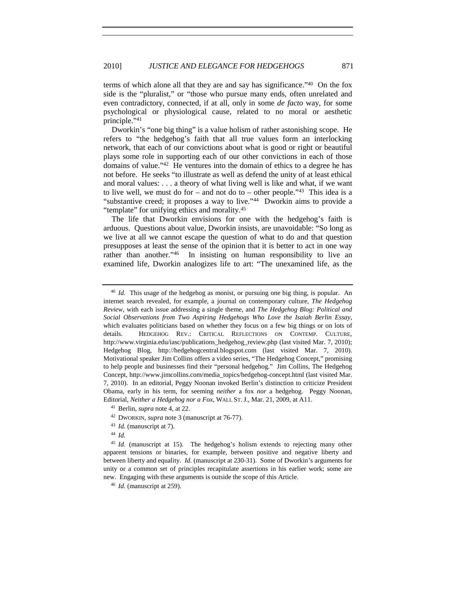terms of which alone all that they are and say has significance."40 On the fox side is the "pluralist," or "those who pursue many ends, often unrelated and even contradictory, connected, if at all, only in some *de facto* way, for some psychological or physiological cause, related to no moral or aesthetic principle."41

Dworkin's "one big thing" is a value holism of rather astonishing scope. He refers to "the hedgehog's faith that all true values form an interlocking network, that each of our convictions about what is good or right or beautiful plays some role in supporting each of our other convictions in each of those domains of value."42 He ventures into the domain of ethics to a degree he has not before. He seeks "to illustrate as well as defend the unity of at least ethical and moral values: . . . a theory of what living well is like and what, if we want to live well, we must do for – and not do to – other people."<sup>43</sup> This idea is a "substantive creed; it proposes a way to live."44 Dworkin aims to provide a "template" for unifying ethics and morality.45

The life that Dworkin envisions for one with the hedgehog's faith is arduous. Questions about value, Dworkin insists, are unavoidable: "So long as we live at all we cannot escape the question of what to do and that question presupposes at least the sense of the opinion that it is better to act in one way rather than another.<sup>246</sup> In insisting on human responsibility to live an In insisting on human responsibility to live an examined life, Dworkin analogizes life to art: "The unexamined life, as the

- <sup>42</sup> DWORKIN, *supra* note 3 (manuscript at 76-77).
- <sup>43</sup> *Id.* (manuscript at 7).
- <sup>44</sup> *Id.*

<sup>&</sup>lt;sup>40</sup> *Id.* This usage of the hedgehog as monist, or pursuing one big thing, is popular. An internet search revealed, for example, a journal on contemporary culture, *The Hedgehog Review*, with each issue addressing a single theme, and *The Hedgehog Blog: Political and Social Observations from Two Aspiring Hedgehogs Who Love the Isaiah Berlin Essay*, which evaluates politicians based on whether they focus on a few big things or on lots of details. HEDGEHOG REV.: CRITICAL REFLECTIONS ON CONTEMP. CULTURE, http://www.virginia.edu/iasc/publications\_hedgehog\_review.php (last visited Mar. 7, 2010); Hedgehog Blog, http://hedgehogcentral.blogspot.com (last visited Mar. 7, 2010). Motivational speaker Jim Collins offers a video series, "The Hedgehog Concept," promising to help people and businesses find their "personal hedgehog." Jim Collins, The Hedgehog Concept, http://www.jimcollins.com/media\_topics/hedgehog-concept.html (last visited Mar. 7, 2010). In an editorial, Peggy Noonan invoked Berlin's distinction to criticize President Obama, early in his term, for seeming *neither* a fox *nor* a hedgehog. Peggy Noonan, Editorial, *Neither a Hedgehog nor a Fox*, WALL ST. J., Mar. 21, 2009, at A11.

<sup>41</sup> Berlin, *supra* note 4, at 22.

<sup>&</sup>lt;sup>45</sup> *Id.* (manuscript at 15). The hedgehog's holism extends to rejecting many other apparent tensions or binaries, for example, between positive and negative liberty and between liberty and equality. *Id.* (manuscript at 230-31). Some of Dworkin's arguments for unity or a common set of principles recapitulate assertions in his earlier work; some are new. Engaging with these arguments is outside the scope of this Article.

<sup>46</sup> *Id.* (manuscript at 259).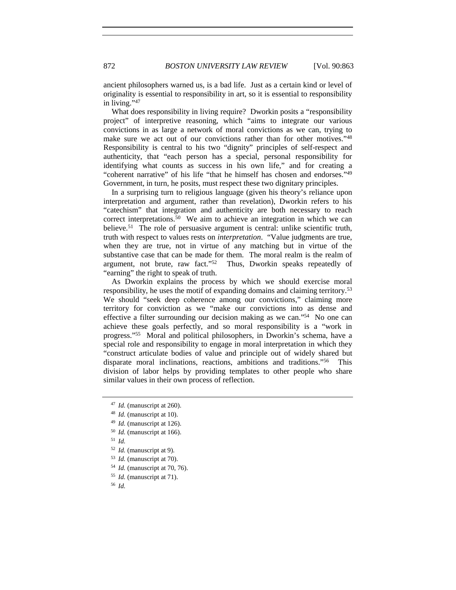ancient philosophers warned us, is a bad life. Just as a certain kind or level of originality is essential to responsibility in art, so it is essential to responsibility in living."47

What does responsibility in living require? Dworkin posits a "responsibility project" of interpretive reasoning, which "aims to integrate our various convictions in as large a network of moral convictions as we can, trying to make sure we act out of our convictions rather than for other motives."48 Responsibility is central to his two "dignity" principles of self-respect and authenticity, that "each person has a special, personal responsibility for identifying what counts as success in his own life," and for creating a "coherent narrative" of his life "that he himself has chosen and endorses."49 Government, in turn, he posits, must respect these two dignitary principles.

In a surprising turn to religious language (given his theory's reliance upon interpretation and argument, rather than revelation), Dworkin refers to his "catechism" that integration and authenticity are both necessary to reach correct interpretations.50 We aim to achieve an integration in which we can believe.<sup>51</sup> The role of persuasive argument is central: unlike scientific truth, truth with respect to values rests on *interpretation*. "Value judgments are true, when they are true, not in virtue of any matching but in virtue of the substantive case that can be made for them. The moral realm is the realm of argument, not brute, raw fact."52 Thus, Dworkin speaks repeatedly of "earning" the right to speak of truth.

As Dworkin explains the process by which we should exercise moral responsibility, he uses the motif of expanding domains and claiming territory.53 We should "seek deep coherence among our convictions," claiming more territory for conviction as we "make our convictions into as dense and effective a filter surrounding our decision making as we can."54 No one can achieve these goals perfectly, and so moral responsibility is a "work in progress."55 Moral and political philosophers, in Dworkin's schema, have a special role and responsibility to engage in moral interpretation in which they "construct articulate bodies of value and principle out of widely shared but disparate moral inclinations, reactions, ambitions and traditions."56 This division of labor helps by providing templates to other people who share similar values in their own process of reflection.

<sup>47</sup> *Id.* (manuscript at 260).

<sup>48</sup> *Id.* (manuscript at 10).

<sup>49</sup> *Id.* (manuscript at 126).

<sup>50</sup> *Id.* (manuscript at 166).

<sup>51</sup> *Id.*

<sup>52</sup> *Id.* (manuscript at 9).

<sup>53</sup> *Id.* (manuscript at 70).

<sup>54</sup> *Id.* (manuscript at 70, 76).

<sup>55</sup> *Id.* (manuscript at 71).

<sup>56</sup> *Id.*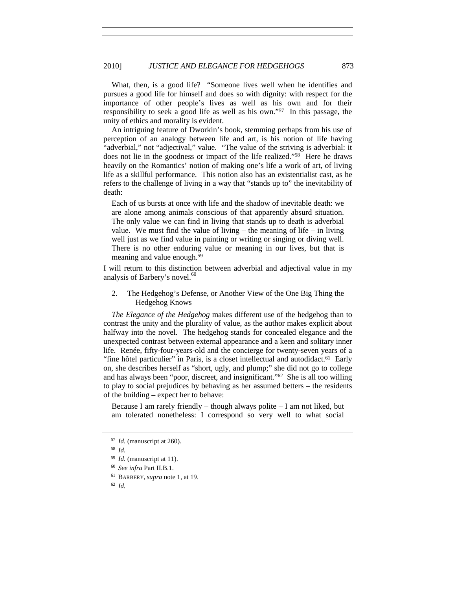What, then, is a good life? "Someone lives well when he identifies and pursues a good life for himself and does so with dignity: with respect for the importance of other people's lives as well as his own and for their responsibility to seek a good life as well as his own."57 In this passage, the unity of ethics and morality is evident.

An intriguing feature of Dworkin's book, stemming perhaps from his use of perception of an analogy between life and art, is his notion of life having "adverbial," not "adjectival," value. "The value of the striving is adverbial: it does not lie in the goodness or impact of the life realized."58 Here he draws heavily on the Romantics' notion of making one's life a work of art, of living life as a skillful performance. This notion also has an existentialist cast, as he refers to the challenge of living in a way that "stands up to" the inevitability of death:

Each of us bursts at once with life and the shadow of inevitable death: we are alone among animals conscious of that apparently absurd situation. The only value we can find in living that stands up to death is adverbial value. We must find the value of living – the meaning of life – in living well just as we find value in painting or writing or singing or diving well. There is no other enduring value or meaning in our lives, but that is meaning and value enough.59

I will return to this distinction between adverbial and adjectival value in my analysis of Barbery's novel. $60$ 

2. The Hedgehog's Defense, or Another View of the One Big Thing the Hedgehog Knows

*The Elegance of the Hedgehog* makes different use of the hedgehog than to contrast the unity and the plurality of value, as the author makes explicit about halfway into the novel. The hedgehog stands for concealed elegance and the unexpected contrast between external appearance and a keen and solitary inner life. Renée, fifty-four-years-old and the concierge for twenty-seven years of a "fine hôtel particulier" in Paris, is a closet intellectual and autodidact.<sup>61</sup> Early on, she describes herself as "short, ugly, and plump;" she did not go to college and has always been "poor, discreet, and insignificant."62 She is all too willing to play to social prejudices by behaving as her assumed betters – the residents of the building – expect her to behave:

Because I am rarely friendly – though always polite  $-$  I am not liked, but am tolerated nonetheless: I correspond so very well to what social

<sup>57</sup> *Id.* (manuscript at 260).

<sup>58</sup> *Id.*

<sup>59</sup> *Id.* (manuscript at 11).

<sup>60</sup> *See infra* Part II.B.1.

<sup>61</sup> BARBERY, *supra* note 1, at 19.

<sup>62</sup> *Id.*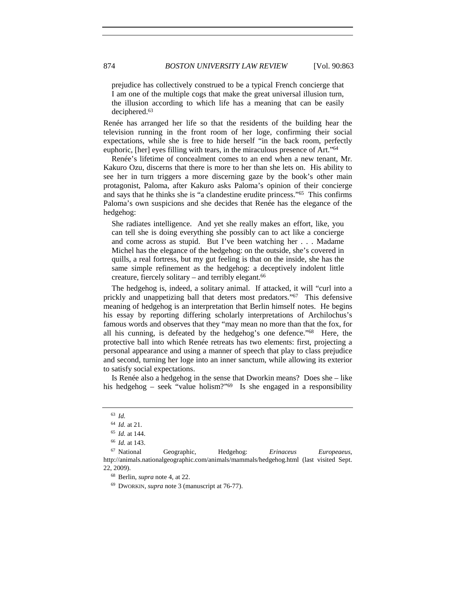prejudice has collectively construed to be a typical French concierge that I am one of the multiple cogs that make the great universal illusion turn, the illusion according to which life has a meaning that can be easily deciphered.63

Renée has arranged her life so that the residents of the building hear the television running in the front room of her loge, confirming their social expectations, while she is free to hide herself "in the back room, perfectly euphoric, [her] eyes filling with tears, in the miraculous presence of Art."64

Renée's lifetime of concealment comes to an end when a new tenant, Mr. Kakuro Ozu, discerns that there is more to her than she lets on. His ability to see her in turn triggers a more discerning gaze by the book's other main protagonist, Paloma, after Kakuro asks Paloma's opinion of their concierge and says that he thinks she is "a clandestine erudite princess."65 This confirms Paloma's own suspicions and she decides that Renée has the elegance of the hedgehog:

She radiates intelligence. And yet she really makes an effort, like, you can tell she is doing everything she possibly can to act like a concierge and come across as stupid. But I've been watching her . . . Madame Michel has the elegance of the hedgehog: on the outside, she's covered in quills, a real fortress, but my gut feeling is that on the inside, she has the same simple refinement as the hedgehog: a deceptively indolent little creature, fiercely solitary – and terribly elegant.66

The hedgehog is, indeed, a solitary animal. If attacked, it will "curl into a prickly and unappetizing ball that deters most predators."<sup>67</sup> This defensive meaning of hedgehog is an interpretation that Berlin himself notes. He begins his essay by reporting differing scholarly interpretations of Archilochus's famous words and observes that they "may mean no more than that the fox, for all his cunning, is defeated by the hedgehog's one defence."68 Here, the protective ball into which Renée retreats has two elements: first, projecting a personal appearance and using a manner of speech that play to class prejudice and second, turning her loge into an inner sanctum, while allowing its exterior to satisfy social expectations.

Is Renée also a hedgehog in the sense that Dworkin means? Does she – like his hedgehog – seek "value holism?"69 Is she engaged in a responsibility

<sup>69</sup> DWORKIN, *supra* note 3 (manuscript at 76-77).

<sup>63</sup> *Id.*

<sup>64</sup> *Id.* at 21.

<sup>65</sup> *Id.* at 144.

<sup>66</sup> *Id.* at 143.

<sup>67</sup> National Geographic, Hedgehog: *Erinaceus Europeaeus*, http://animals.nationalgeographic.com/animals/mammals/hedgehog.html (last visited Sept. 22, 2009). 68 Berlin, *supra* note 4, at 22.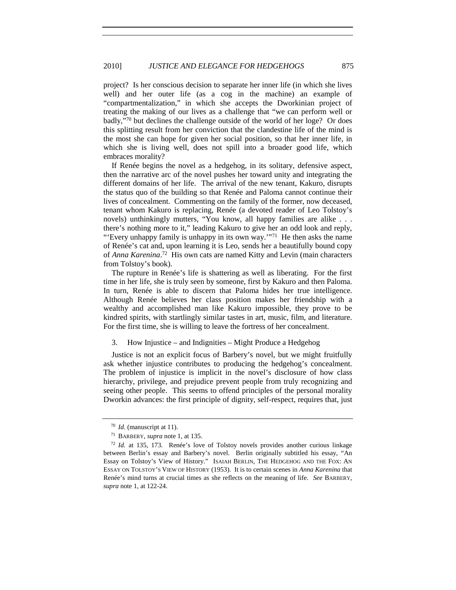project? Is her conscious decision to separate her inner life (in which she lives well) and her outer life (as a cog in the machine) an example of "compartmentalization," in which she accepts the Dworkinian project of treating the making of our lives as a challenge that "we can perform well or badly,"70 but declines the challenge outside of the world of her loge? Or does this splitting result from her conviction that the clandestine life of the mind is the most she can hope for given her social position, so that her inner life, in which she is living well, does not spill into a broader good life, which embraces morality?

If Renée begins the novel as a hedgehog, in its solitary, defensive aspect, then the narrative arc of the novel pushes her toward unity and integrating the different domains of her life. The arrival of the new tenant, Kakuro, disrupts the status quo of the building so that Renée and Paloma cannot continue their lives of concealment. Commenting on the family of the former, now deceased, tenant whom Kakuro is replacing, Renée (a devoted reader of Leo Tolstoy's novels) unthinkingly mutters, "You know, all happy families are alike . . . there's nothing more to it," leading Kakuro to give her an odd look and reply, "'Every unhappy family is unhappy in its own way.'"<sup>71</sup> He then asks the name of Renée's cat and, upon learning it is Leo, sends her a beautifully bound copy of *Anna Karenina*. 72 His own cats are named Kitty and Levin (main characters from Tolstoy's book).

The rupture in Renée's life is shattering as well as liberating. For the first time in her life, she is truly seen by someone, first by Kakuro and then Paloma. In turn, Renée is able to discern that Paloma hides her true intelligence. Although Renée believes her class position makes her friendship with a wealthy and accomplished man like Kakuro impossible, they prove to be kindred spirits, with startlingly similar tastes in art, music, film, and literature. For the first time, she is willing to leave the fortress of her concealment.

#### 3. How Injustice – and Indignities – Might Produce a Hedgehog

Justice is not an explicit focus of Barbery's novel, but we might fruitfully ask whether injustice contributes to producing the hedgehog's concealment. The problem of injustice is implicit in the novel's disclosure of how class hierarchy, privilege, and prejudice prevent people from truly recognizing and seeing other people. This seems to offend principles of the personal morality Dworkin advances: the first principle of dignity, self-respect, requires that, just

<sup>70</sup> *Id.* (manuscript at 11).

<sup>71</sup> BARBERY, *supra* note 1, at 135.

<sup>72</sup> *Id.* at 135, 173. Renée's love of Tolstoy novels provides another curious linkage between Berlin's essay and Barbery's novel. Berlin originally subtitled his essay, "An Essay on Tolstoy's View of History." ISAIAH BERLIN, THE HEDGEHOG AND THE FOX: AN ESSAY ON TOLSTOY'S VIEW OF HISTORY (1953). It is to certain scenes in *Anna Karenina* that Renée's mind turns at crucial times as she reflects on the meaning of life. *See* BARBERY, *supra* note 1, at 122-24.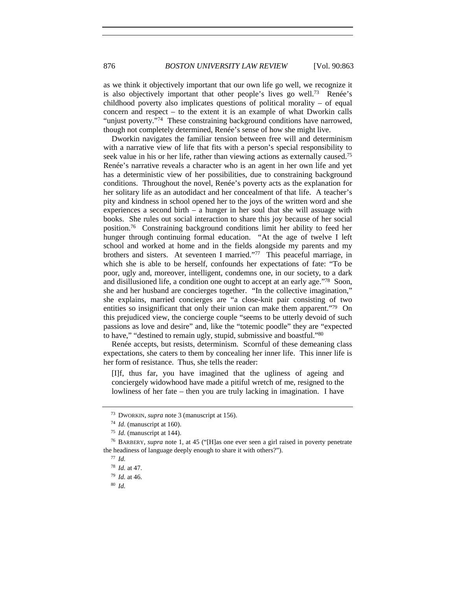as we think it objectively important that our own life go well, we recognize it is also objectively important that other people's lives go well.<sup>73</sup> Renée's childhood poverty also implicates questions of political morality – of equal concern and respect  $-$  to the extent it is an example of what Dworkin calls "unjust poverty."74 These constraining background conditions have narrowed, though not completely determined, Renée's sense of how she might live.

Dworkin navigates the familiar tension between free will and determinism with a narrative view of life that fits with a person's special responsibility to seek value in his or her life, rather than viewing actions as externally caused.<sup>75</sup> Renée's narrative reveals a character who is an agent in her own life and yet has a deterministic view of her possibilities, due to constraining background conditions. Throughout the novel, Renée's poverty acts as the explanation for her solitary life as an autodidact and her concealment of that life. A teacher's pity and kindness in school opened her to the joys of the written word and she experiences a second birth – a hunger in her soul that she will assuage with books. She rules out social interaction to share this joy because of her social position.76 Constraining background conditions limit her ability to feed her hunger through continuing formal education. "At the age of twelve I left school and worked at home and in the fields alongside my parents and my brothers and sisters. At seventeen I married."77 This peaceful marriage, in which she is able to be herself, confounds her expectations of fate: "To be poor, ugly and, moreover, intelligent, condemns one, in our society, to a dark and disillusioned life, a condition one ought to accept at an early age."78 Soon, she and her husband are concierges together. "In the collective imagination," she explains, married concierges are "a close-knit pair consisting of two entities so insignificant that only their union can make them apparent."<sup>79</sup> On this prejudiced view, the concierge couple "seems to be utterly devoid of such passions as love and desire" and, like the "totemic poodle" they are "expected to have," "destined to remain ugly, stupid, submissive and boastful."80

Renée accepts, but resists, determinism. Scornful of these demeaning class expectations, she caters to them by concealing her inner life. This inner life is her form of resistance. Thus, she tells the reader:

[I]f, thus far, you have imagined that the ugliness of ageing and conciergely widowhood have made a pitiful wretch of me, resigned to the lowliness of her fate – then you are truly lacking in imagination. I have

<sup>73</sup> DWORKIN, *supra* note 3 (manuscript at 156).

<sup>74</sup> *Id.* (manuscript at 160).

<sup>75</sup> *Id.* (manuscript at 144).

<sup>76</sup> BARBERY, *supra* note 1, at 45 ("[H]as one ever seen a girl raised in poverty penetrate the headiness of language deeply enough to share it with others?").

<sup>77</sup> *Id.*

<sup>78</sup> *Id.* at 47.

<sup>79</sup> *Id.* at 46.

<sup>80</sup> *Id.*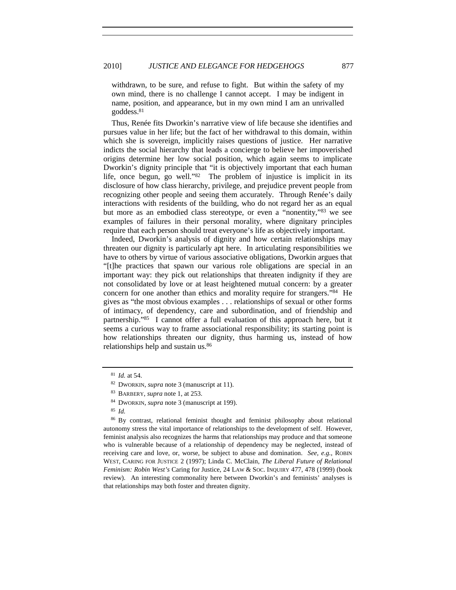withdrawn, to be sure, and refuse to fight. But within the safety of my own mind, there is no challenge I cannot accept. I may be indigent in name, position, and appearance, but in my own mind I am an unrivalled goddess.81

Thus, Renée fits Dworkin's narrative view of life because she identifies and pursues value in her life; but the fact of her withdrawal to this domain, within which she is sovereign, implicitly raises questions of justice. Her narrative indicts the social hierarchy that leads a concierge to believe her impoverished origins determine her low social position, which again seems to implicate Dworkin's dignity principle that "it is objectively important that each human life, once begun, go well."82 The problem of injustice is implicit in its disclosure of how class hierarchy, privilege, and prejudice prevent people from recognizing other people and seeing them accurately. Through Renée's daily interactions with residents of the building, who do not regard her as an equal but more as an embodied class stereotype, or even a "nonentity,"83 we see examples of failures in their personal morality, where dignitary principles require that each person should treat everyone's life as objectively important.

Indeed, Dworkin's analysis of dignity and how certain relationships may threaten our dignity is particularly apt here. In articulating responsibilities we have to others by virtue of various associative obligations, Dworkin argues that "[t]he practices that spawn our various role obligations are special in an important way: they pick out relationships that threaten indignity if they are not consolidated by love or at least heightened mutual concern: by a greater concern for one another than ethics and morality require for strangers."84 He gives as "the most obvious examples . . . relationships of sexual or other forms of intimacy, of dependency, care and subordination, and of friendship and partnership."85 I cannot offer a full evaluation of this approach here, but it seems a curious way to frame associational responsibility; its starting point is how relationships threaten our dignity, thus harming us, instead of how relationships help and sustain us.86

<sup>81</sup> *Id.* at 54.

<sup>82</sup> DWORKIN, *supra* note 3 (manuscript at 11). 83 BARBERY, *supra* note 1, at 253.

<sup>84</sup> DWORKIN, *supra* note 3 (manuscript at 199).

<sup>85</sup> *Id.*

<sup>86</sup> By contrast, relational feminist thought and feminist philosophy about relational autonomy stress the vital importance of relationships to the development of self. However, feminist analysis also recognizes the harms that relationships may produce and that someone who is vulnerable because of a relationship of dependency may be neglected, instead of receiving care and love, or, worse, be subject to abuse and domination. *See, e.g.*, ROBIN WEST, CARING FOR JUSTICE 2 (1997); Linda C. McClain, *The Liberal Future of Relational Feminism: Robin West's* Caring for Justice, 24 LAW & SOC. INQUIRY 477, 478 (1999) (book review). An interesting commonality here between Dworkin's and feminists' analyses is that relationships may both foster and threaten dignity.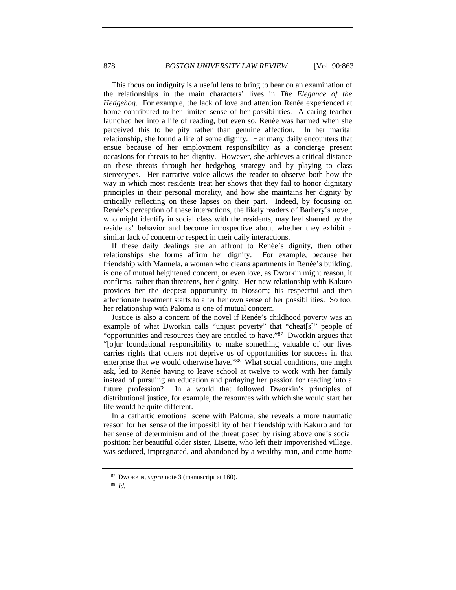This focus on indignity is a useful lens to bring to bear on an examination of the relationships in the main characters' lives in *The Elegance of the Hedgehog*. For example, the lack of love and attention Renée experienced at home contributed to her limited sense of her possibilities. A caring teacher launched her into a life of reading, but even so, Renée was harmed when she perceived this to be pity rather than genuine affection. In her marital relationship, she found a life of some dignity. Her many daily encounters that ensue because of her employment responsibility as a concierge present occasions for threats to her dignity. However, she achieves a critical distance on these threats through her hedgehog strategy and by playing to class stereotypes. Her narrative voice allows the reader to observe both how the way in which most residents treat her shows that they fail to honor dignitary principles in their personal morality, and how she maintains her dignity by critically reflecting on these lapses on their part. Indeed, by focusing on Renée's perception of these interactions, the likely readers of Barbery's novel, who might identify in social class with the residents, may feel shamed by the residents' behavior and become introspective about whether they exhibit a similar lack of concern or respect in their daily interactions.

If these daily dealings are an affront to Renée's dignity, then other relationships she forms affirm her dignity. For example, because her friendship with Manuela, a woman who cleans apartments in Renée's building, is one of mutual heightened concern, or even love, as Dworkin might reason, it confirms, rather than threatens, her dignity. Her new relationship with Kakuro provides her the deepest opportunity to blossom; his respectful and then affectionate treatment starts to alter her own sense of her possibilities. So too, her relationship with Paloma is one of mutual concern.

Justice is also a concern of the novel if Renée's childhood poverty was an example of what Dworkin calls "unjust poverty" that "cheat[s]" people of "opportunities and resources they are entitled to have."87 Dworkin argues that "[o]ur foundational responsibility to make something valuable of our lives carries rights that others not deprive us of opportunities for success in that enterprise that we would otherwise have."<sup>88</sup> What social conditions, one might ask, led to Renée having to leave school at twelve to work with her family instead of pursuing an education and parlaying her passion for reading into a future profession? In a world that followed Dworkin's principles of distributional justice, for example, the resources with which she would start her life would be quite different.

In a cathartic emotional scene with Paloma, she reveals a more traumatic reason for her sense of the impossibility of her friendship with Kakuro and for her sense of determinism and of the threat posed by rising above one's social position: her beautiful older sister, Lisette, who left their impoverished village, was seduced, impregnated, and abandoned by a wealthy man, and came home

<sup>87</sup> DWORKIN, *supra* note 3 (manuscript at 160).

<sup>88</sup> *Id.*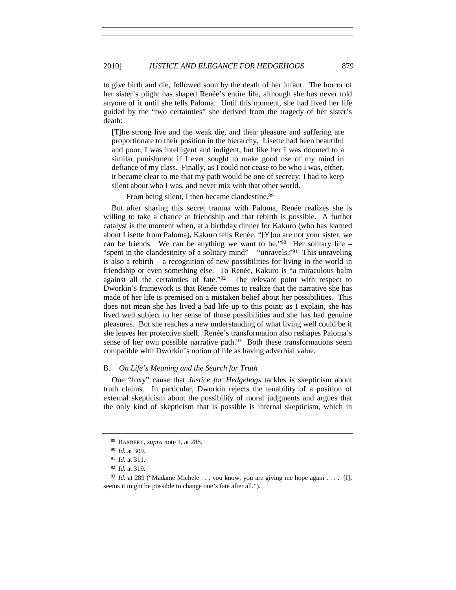to give birth and die, followed soon by the death of her infant. The horror of her sister's plight has shaped Renée's entire life, although she has never told anyone of it until she tells Paloma. Until this moment, she had lived her life guided by the "two certainties" she derived from the tragedy of her sister's death:

[T]he strong live and the weak die, and their pleasure and suffering are proportionate to their position in the hierarchy. Lisette had been beautiful and poor, I was intelligent and indigent, but like her I was doomed to a similar punishment if I ever sought to make good use of my mind in defiance of my class. Finally, as I could not cease to be who I was, either, it became clear to me that my path would be one of secrecy: I had to keep silent about who I was, and never mix with that other world.

From being silent, I then became clandestine.<sup>89</sup>

But after sharing this secret trauma with Paloma, Renée realizes she is willing to take a chance at friendship and that rebirth is possible. A further catalyst is the moment when, at a birthday dinner for Kakuro (who has learned about Lisette from Paloma), Kakuro tells Renée: "[Y]ou are not your sister, we can be friends. We can be anything we want to be." $90$  Her solitary life – "spent in the clandestinity of a solitary mind" – "unravels."<sup>91</sup> This unraveling is also a rebirth – a recognition of new possibilities for living in the world in friendship or even something else. To Renée, Kakuro is "a miraculous balm against all the certainties of fate."92 The relevant point with respect to Dworkin's framework is that Renée comes to realize that the narrative she has made of her life is premised on a mistaken belief about her possibilities. This does not mean she has lived a bad life up to this point; as I explain, she has lived well subject to her sense of those possibilities and she has had genuine pleasures. But she reaches a new understanding of what living well could be if she leaves her protective shell. Renée's transformation also reshapes Paloma's sense of her own possible narrative path. $93$  Both these transformations seem compatible with Dworkin's notion of life as having adverbial value.

# B. *On Life's Meaning and the Search for Truth*

One "foxy" cause that *Justice for Hedgehogs* tackles is skepticism about truth claims. In particular, Dworkin rejects the tenability of a position of external skepticism about the possibility of moral judgments and argues that the only kind of skepticism that is possible is internal skepticism, which in

<sup>89</sup> BARBERY, *supra* note 1, at 288. 90 *Id.* at 309.

<sup>&</sup>lt;sup>91</sup> *Id.* at 311.<br><sup>92</sup> *Id.* at 319.

<sup>&</sup>lt;sup>93</sup> *Id.* at 289 ("Madame Michele . . . you know, you are giving me hope again . . . . [I]t seems it might be possible to change one's fate after all.").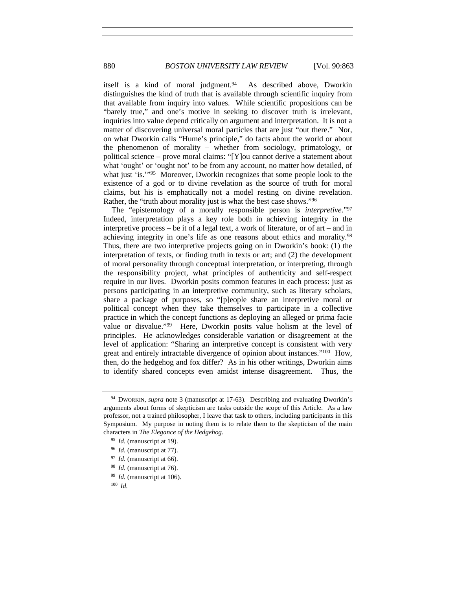itself is a kind of moral judgment.<sup>94</sup> As described above, Dworkin distinguishes the kind of truth that is available through scientific inquiry from that available from inquiry into values. While scientific propositions can be "barely true," and one's motive in seeking to discover truth is irrelevant, inquiries into value depend critically on argument and interpretation. It is not a matter of discovering universal moral particles that are just "out there." Nor, on what Dworkin calls "Hume's principle," do facts about the world or about the phenomenon of morality – whether from sociology, primatology, or political science – prove moral claims: "[Y]ou cannot derive a statement about what 'ought' or 'ought not' to be from any account, no matter how detailed, of what just 'is.'"<sup>95</sup> Moreover, Dworkin recognizes that some people look to the existence of a god or to divine revelation as the source of truth for moral claims, but his is emphatically not a model resting on divine revelation. Rather, the "truth about morality just is what the best case shows."96

The "epistemology of a morally responsible person is *interpretive*."97 Indeed, interpretation plays a key role both in achieving integrity in the interpretive process **–** be it of a legal text, a work of literature, or of art **–** and in achieving integrity in one's life as one reasons about ethics and morality.98 Thus, there are two interpretive projects going on in Dworkin's book: (1) the interpretation of texts, or finding truth in texts or art; and (2) the development of moral personality through conceptual interpretation, or interpreting, through the responsibility project, what principles of authenticity and self-respect require in our lives. Dworkin posits common features in each process: just as persons participating in an interpretive community, such as literary scholars, share a package of purposes, so "[p]eople share an interpretive moral or political concept when they take themselves to participate in a collective practice in which the concept functions as deploying an alleged or prima facie value or disvalue."99 Here, Dworkin posits value holism at the level of principles. He acknowledges considerable variation or disagreement at the level of application: "Sharing an interpretive concept is consistent with very great and entirely intractable divergence of opinion about instances."100 How, then, do the hedgehog and fox differ? As in his other writings, Dworkin aims to identify shared concepts even amidst intense disagreement. Thus, the

<sup>94</sup> DWORKIN, *supra* note 3 (manuscript at 17-63). Describing and evaluating Dworkin's arguments about forms of skepticism are tasks outside the scope of this Article. As a law professor, not a trained philosopher, I leave that task to others, including participants in this Symposium. My purpose in noting them is to relate them to the skepticism of the main characters in *The Elegance of the Hedgehog*.

<sup>95</sup> *Id.* (manuscript at 19).

<sup>96</sup> *Id.* (manuscript at 77).

<sup>97</sup> *Id.* (manuscript at 66).

<sup>98</sup> *Id.* (manuscript at 76).

<sup>99</sup> *Id.* (manuscript at 106).

<sup>100</sup> *Id.*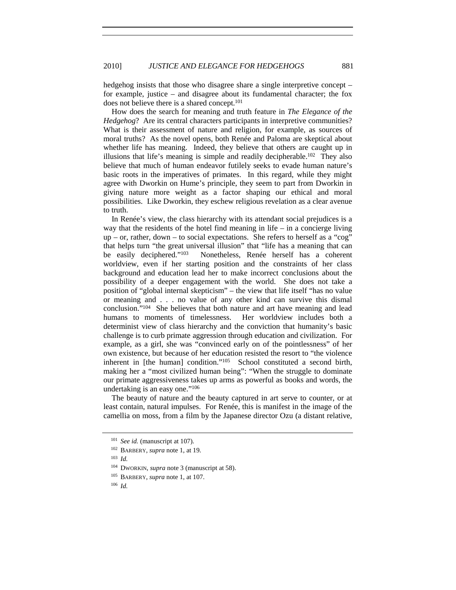hedgehog insists that those who disagree share a single interpretive concept – for example, justice – and disagree about its fundamental character; the fox does not believe there is a shared concept.101

How does the search for meaning and truth feature in *The Elegance of the Hedgehog*? Are its central characters participants in interpretive communities? What is their assessment of nature and religion, for example, as sources of moral truths? As the novel opens, both Renée and Paloma are skeptical about whether life has meaning. Indeed, they believe that others are caught up in illusions that life's meaning is simple and readily decipherable.102 They also believe that much of human endeavor futilely seeks to evade human nature's basic roots in the imperatives of primates. In this regard, while they might agree with Dworkin on Hume's principle, they seem to part from Dworkin in giving nature more weight as a factor shaping our ethical and moral possibilities. Like Dworkin, they eschew religious revelation as a clear avenue to truth.

In Renée's view, the class hierarchy with its attendant social prejudices is a way that the residents of the hotel find meaning in life – in a concierge living up – or, rather, down – to social expectations. She refers to herself as a "cog" that helps turn "the great universal illusion" that "life has a meaning that can be easily deciphered."103 Nonetheless, Renée herself has a coherent worldview, even if her starting position and the constraints of her class background and education lead her to make incorrect conclusions about the possibility of a deeper engagement with the world. She does not take a position of "global internal skepticism" – the view that life itself "has no value or meaning and . . . no value of any other kind can survive this dismal conclusion."104 She believes that both nature and art have meaning and lead humans to moments of timelessness. Her worldview includes both a determinist view of class hierarchy and the conviction that humanity's basic challenge is to curb primate aggression through education and civilization. For example, as a girl, she was "convinced early on of the pointlessness" of her own existence, but because of her education resisted the resort to "the violence inherent in [the human] condition."105 School constituted a second birth, making her a "most civilized human being": "When the struggle to dominate our primate aggressiveness takes up arms as powerful as books and words, the undertaking is an easy one."106

The beauty of nature and the beauty captured in art serve to counter, or at least contain, natural impulses. For Renée, this is manifest in the image of the camellia on moss, from a film by the Japanese director Ozu (a distant relative,

<sup>101</sup> *See id.* (manuscript at 107).

<sup>102</sup> BARBERY, *supra* note 1, at 19.

<sup>103</sup> *Id.*

<sup>104</sup> DWORKIN, *supra* note 3 (manuscript at 58).

<sup>105</sup> BARBERY, *supra* note 1, at 107.

<sup>106</sup> *Id.*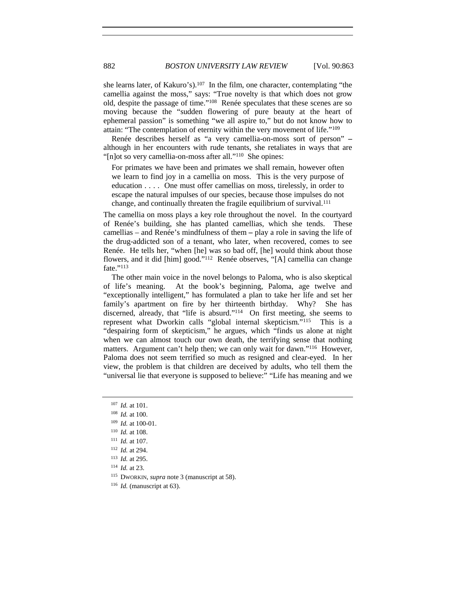she learns later, of Kakuro's).<sup>107</sup> In the film, one character, contemplating "the camellia against the moss," says: "True novelty is that which does not grow old, despite the passage of time."108 Renée speculates that these scenes are so moving because the "sudden flowering of pure beauty at the heart of ephemeral passion" is something "we all aspire to," but do not know how to attain: "The contemplation of eternity within the very movement of life."109

Renée describes herself as "a very camellia-on-moss sort of person" **–** although in her encounters with rude tenants, she retaliates in ways that are "[n]ot so very camellia-on-moss after all."<sup>110</sup> She opines:

For primates we have been and primates we shall remain, however often we learn to find joy in a camellia on moss. This is the very purpose of education . . . . One must offer camellias on moss, tirelessly, in order to escape the natural impulses of our species, because those impulses do not change, and continually threaten the fragile equilibrium of survival.111

The camellia on moss plays a key role throughout the novel. In the courtyard of Renée's building, she has planted camellias, which she tends. These camellias – and Renée's mindfulness of them **–** play a role in saving the life of the drug-addicted son of a tenant, who later, when recovered, comes to see Renée. He tells her, "when [he] was so bad off, [he] would think about those flowers, and it did [him] good."112 Renée observes, "[A] camellia can change fate."113

The other main voice in the novel belongs to Paloma, who is also skeptical of life's meaning. At the book's beginning, Paloma, age twelve and "exceptionally intelligent," has formulated a plan to take her life and set her family's apartment on fire by her thirteenth birthday. Why? She has discerned, already, that "life is absurd."114 On first meeting, she seems to represent what Dworkin calls "global internal skepticism."115 This is a "despairing form of skepticism," he argues, which "finds us alone at night when we can almost touch our own death, the terrifying sense that nothing matters. Argument can't help then; we can only wait for dawn."116 However, Paloma does not seem terrified so much as resigned and clear-eyed. In her view, the problem is that children are deceived by adults, who tell them the "universal lie that everyone is supposed to believe:" "Life has meaning and we

<sup>114</sup> *Id.* at 23.

<sup>115</sup> DWORKIN, *supra* note 3 (manuscript at 58).

<sup>107</sup> *Id.* at 101.

<sup>108</sup> *Id.* at 100.

<sup>109</sup> *Id.* at 100-01.

<sup>110</sup> *Id.* at 108.

<sup>111</sup> *Id.* at 107.

<sup>112</sup> *Id.* at 294.

<sup>113</sup> *Id.* at 295.

<sup>116</sup> *Id.* (manuscript at 63).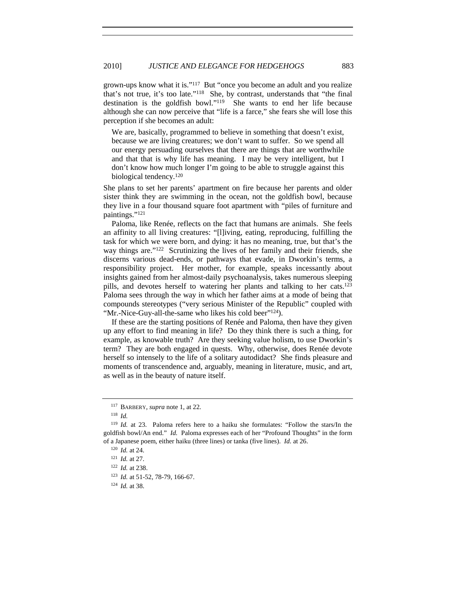grown-ups know what it is."117 But "once you become an adult and you realize that's not true, it's too late."118 She, by contrast, understands that "the final destination is the goldfish bowl."119 She wants to end her life because although she can now perceive that "life is a farce," she fears she will lose this perception if she becomes an adult:

We are, basically, programmed to believe in something that doesn't exist, because we are living creatures; we don't want to suffer. So we spend all our energy persuading ourselves that there are things that are worthwhile and that that is why life has meaning. I may be very intelligent, but I don't know how much longer I'm going to be able to struggle against this biological tendency.120

She plans to set her parents' apartment on fire because her parents and older sister think they are swimming in the ocean, not the goldfish bowl, because they live in a four thousand square foot apartment with "piles of furniture and paintings."121

Paloma, like Renée, reflects on the fact that humans are animals. She feels an affinity to all living creatures: "[l]iving, eating, reproducing, fulfilling the task for which we were born, and dying: it has no meaning, true, but that's the way things are."122 Scrutinizing the lives of her family and their friends, she discerns various dead-ends, or pathways that evade, in Dworkin's terms, a responsibility project. Her mother, for example, speaks incessantly about insights gained from her almost-daily psychoanalysis, takes numerous sleeping pills, and devotes herself to watering her plants and talking to her cats.<sup>123</sup> Paloma sees through the way in which her father aims at a mode of being that compounds stereotypes ("very serious Minister of the Republic" coupled with "Mr.-Nice-Guy-all-the-same who likes his cold beer"<sup>124</sup>).

If these are the starting positions of Renée and Paloma, then have they given up any effort to find meaning in life? Do they think there is such a thing, for example, as knowable truth? Are they seeking value holism, to use Dworkin's term? They are both engaged in quests. Why, otherwise, does Renée devote herself so intensely to the life of a solitary autodidact? She finds pleasure and moments of transcendence and, arguably, meaning in literature, music, and art, as well as in the beauty of nature itself.

<sup>117</sup> BARBERY, *supra* note 1, at 22.

<sup>118</sup> *Id.*

<sup>119</sup> *Id.* at 23. Paloma refers here to a haiku she formulates: "Follow the stars/In the goldfish bowl/An end." *Id.* Paloma expresses each of her "Profound Thoughts" in the form of a Japanese poem, either haiku (three lines) or tanka (five lines). *Id.* at 26. 120 *Id.* at 24.

<sup>121</sup> *Id.* at 27.

<sup>122</sup> *Id.* at 238.

<sup>123</sup> *Id.* at 51-52, 78-79, 166-67.

<sup>124</sup> *Id.* at 38.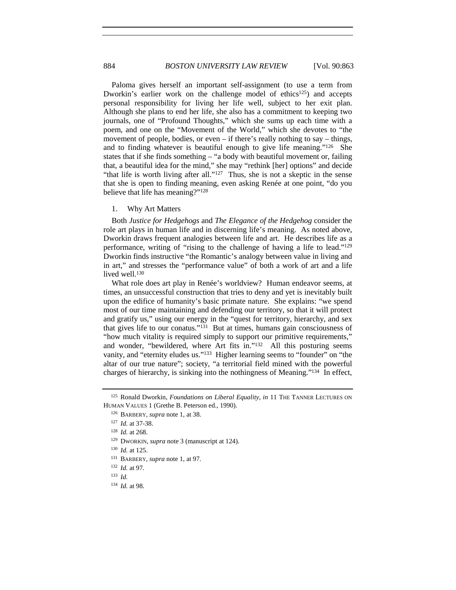Paloma gives herself an important self-assignment (to use a term from Dworkin's earlier work on the challenge model of ethics<sup>125</sup>) and accepts personal responsibility for living her life well, subject to her exit plan. Although she plans to end her life, she also has a commitment to keeping two journals, one of "Profound Thoughts," which she sums up each time with a poem, and one on the "Movement of the World," which she devotes to "the movement of people, bodies, or even – if there's really nothing to say – things, and to finding whatever is beautiful enough to give life meaning."126 She states that if she finds something – "a body with beautiful movement or, failing that, a beautiful idea for the mind," she may "rethink [her] options" and decide "that life is worth living after all."<sup>127</sup> Thus, she is not a skeptic in the sense that she is open to finding meaning, even asking Renée at one point, "do you believe that life has meaning?"128

## 1. Why Art Matters

Both *Justice for Hedgehogs* and *The Elegance of the Hedgehog* consider the role art plays in human life and in discerning life's meaning. As noted above, Dworkin draws frequent analogies between life and art. He describes life as a performance, writing of "rising to the challenge of having a life to lead."129 Dworkin finds instructive "the Romantic's analogy between value in living and in art," and stresses the "performance value" of both a work of art and a life lived well.<sup>130</sup>

What role does art play in Renée's worldview? Human endeavor seems, at times, an unsuccessful construction that tries to deny and yet is inevitably built upon the edifice of humanity's basic primate nature. She explains: "we spend most of our time maintaining and defending our territory, so that it will protect and gratify us," using our energy in the "quest for territory, hierarchy, and sex that gives life to our conatus."131 But at times, humans gain consciousness of "how much vitality is required simply to support our primitive requirements," and wonder, "bewildered, where Art fits in."132 All this posturing seems vanity, and "eternity eludes us."<sup>133</sup> Higher learning seems to "founder" on "the altar of our true nature"; society, "a territorial field mined with the powerful charges of hierarchy, is sinking into the nothingness of Meaning."134 In effect,

<sup>125</sup> Ronald Dworkin, *Foundations on Liberal Equality*, *in* 11 THE TANNER LECTURES ON HUMAN VALUES 1 (Grethe B. Peterson ed., 1990).

<sup>126</sup> BARBERY, *supra* note 1, at 38.

<sup>127</sup> *Id.* at 37-38.

<sup>128</sup> *Id.* at 268.

<sup>129</sup> DWORKIN, *supra* note 3 (manuscript at 124).

<sup>130</sup> *Id.* at 125.

<sup>131</sup> BARBERY, *supra* note 1, at 97.

<sup>132</sup> *Id.* at 97.

<sup>133</sup> *Id.*

<sup>134</sup> *Id.* at 98.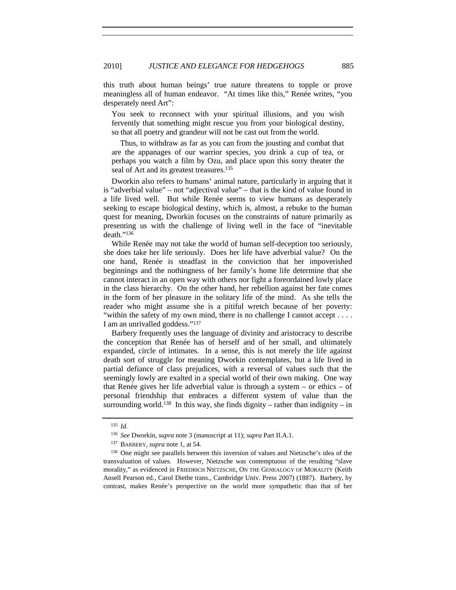this truth about human beings' true nature threatens to topple or prove meaningless all of human endeavor. "At times like this," Renée writes, "you desperately need Art":

You seek to reconnect with your spiritual illusions, and you wish fervently that something might rescue you from your biological destiny, so that all poetry and grandeur will not be cast out from the world.

Thus, to withdraw as far as you can from the jousting and combat that are the appanages of our warrior species, you drink a cup of tea, or perhaps you watch a film by Ozu, and place upon this sorry theater the seal of Art and its greatest treasures.<sup>135</sup>

Dworkin also refers to humans' animal nature, particularly in arguing that it is "adverbial value" – not "adjectival value" – that is the kind of value found in a life lived well. But while Renée seems to view humans as desperately seeking to escape biological destiny, which is, almost, a rebuke to the human quest for meaning, Dworkin focuses on the constraints of nature primarily as presenting us with the challenge of living well in the face of "inevitable death."136

While Renée may not take the world of human self-deception too seriously, she does take her life seriously. Does her life have adverbial value? On the one hand, Renée is steadfast in the conviction that her impoverished beginnings and the nothingness of her family's home life determine that she cannot interact in an open way with others nor fight a foreordained lowly place in the class hierarchy. On the other hand, her rebellion against her fate comes in the form of her pleasure in the solitary life of the mind. As she tells the reader who might assume she is a pitiful wretch because of her poverty: "within the safety of my own mind, there is no challenge I cannot accept . . . . I am an unrivalled goddess."137

Barbery frequently uses the language of divinity and aristocracy to describe the conception that Renée has of herself and of her small, and ultimately expanded, circle of intimates. In a sense, this is not merely the life against death sort of struggle for meaning Dworkin contemplates, but a life lived in partial defiance of class prejudices, with a reversal of values such that the seemingly lowly are exalted in a special world of their own making. One way that Renée gives her life adverbial value is through a system – or ethics – of personal friendship that embraces a different system of value than the surrounding world.<sup>138</sup> In this way, she finds dignity – rather than indignity – in

<sup>135</sup> *Id.*

<sup>136</sup> *See* Dworkin, *supra* note 3 (manuscript at 11); *supra* Part II.A.1. 137 BARBERY, *supra* note 1, at 54.

<sup>138</sup> One might see parallels between this inversion of values and Nietzsche's idea of the transvaluation of values. However, Nietzsche was contemptuous of the resulting "slave morality," as evidenced in FRIEDRICH NIETZSCHE, ON THE GENEALOGY OF MORALITY (Keith Ansell Pearson ed., Carol Diethe trans., Cambridge Univ. Press 2007) (1887). Barbery, by contrast, makes Renée's perspective on the world more sympathetic than that of her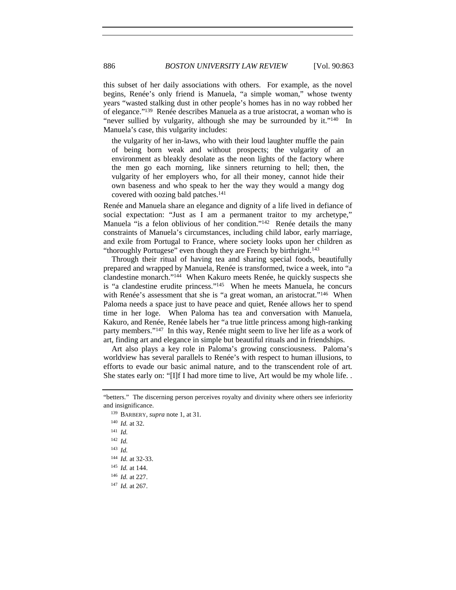this subset of her daily associations with others. For example, as the novel begins, Renée's only friend is Manuela, "a simple woman," whose twenty years "wasted stalking dust in other people's homes has in no way robbed her of elegance."139 Renée describes Manuela as a true aristocrat, a woman who is "never sullied by vulgarity, although she may be surrounded by it."<sup>140</sup> In Manuela's case, this vulgarity includes:

the vulgarity of her in-laws, who with their loud laughter muffle the pain of being born weak and without prospects; the vulgarity of an environment as bleakly desolate as the neon lights of the factory where the men go each morning, like sinners returning to hell; then, the vulgarity of her employers who, for all their money, cannot hide their own baseness and who speak to her the way they would a mangy dog covered with oozing bald patches.141

Renée and Manuela share an elegance and dignity of a life lived in defiance of social expectation: "Just as I am a permanent traitor to my archetype," Manuela "is a felon oblivious of her condition."<sup>142</sup> Renée details the many constraints of Manuela's circumstances, including child labor, early marriage, and exile from Portugal to France, where society looks upon her children as "thoroughly Portugese" even though they are French by birthright.<sup>143</sup>

Through their ritual of having tea and sharing special foods, beautifully prepared and wrapped by Manuela, Renée is transformed, twice a week, into "a clandestine monarch."144 When Kakuro meets Renée, he quickly suspects she is "a clandestine erudite princess."145 When he meets Manuela, he concurs with Renée's assessment that she is "a great woman, an aristocrat."<sup>146</sup> When Paloma needs a space just to have peace and quiet, Renée allows her to spend time in her loge. When Paloma has tea and conversation with Manuela, Kakuro, and Renée, Renée labels her "a true little princess among high-ranking party members."147 In this way, Renée might seem to live her life as a work of art, finding art and elegance in simple but beautiful rituals and in friendships.

Art also plays a key role in Paloma's growing consciousness. Paloma's worldview has several parallels to Renée's with respect to human illusions, to efforts to evade our basic animal nature, and to the transcendent role of art. She states early on: "[I]f I had more time to live, Art would be my whole life. .

<sup>&</sup>quot;betters." The discerning person perceives royalty and divinity where others see inferiority and insignificance. 139 BARBERY, *supra* note 1, at 31.

<sup>140</sup> *Id.* at 32. <sup>141</sup> *Id.* <sup>142</sup> *Id.* <sup>143</sup> *Id.* <sup>144</sup> *Id.* at 32-33.

<sup>145</sup> *Id.* at 144.

<sup>146</sup> *Id.* at 227.

<sup>147</sup> *Id.* at 267.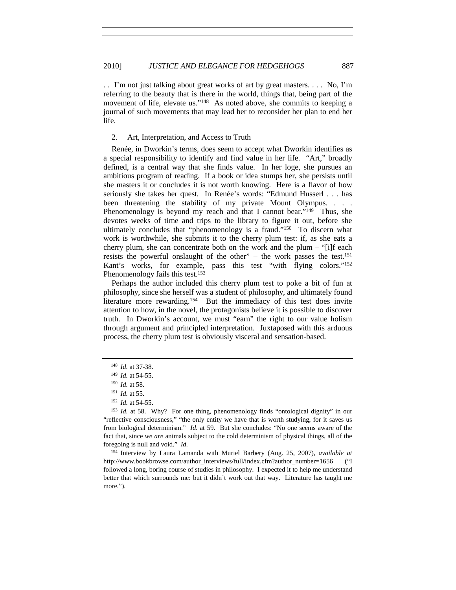. . I'm not just talking about great works of art by great masters. . . . No, I'm referring to the beauty that is there in the world, things that, being part of the movement of life, elevate us."<sup>148</sup> As noted above, she commits to keeping a journal of such movements that may lead her to reconsider her plan to end her life.

#### 2. Art, Interpretation, and Access to Truth

Renée, in Dworkin's terms, does seem to accept what Dworkin identifies as a special responsibility to identify and find value in her life. "Art," broadly defined, is a central way that she finds value. In her loge, she pursues an ambitious program of reading. If a book or idea stumps her, she persists until she masters it or concludes it is not worth knowing. Here is a flavor of how seriously she takes her quest. In Renée's words: "Edmund Husserl . . . has been threatening the stability of my private Mount Olympus. . . . Phenomenology is beyond my reach and that I cannot bear."<sup>149</sup> Thus, she devotes weeks of time and trips to the library to figure it out, before she ultimately concludes that "phenomenology is a fraud."150 To discern what work is worthwhile, she submits it to the cherry plum test: if, as she eats a cherry plum, she can concentrate both on the work and the plum – "[i]f each resists the powerful onslaught of the other" – the work passes the test.<sup>151</sup> Kant's works, for example, pass this test "with flying colors."152 Phenomenology fails this test.<sup>153</sup>

Perhaps the author included this cherry plum test to poke a bit of fun at philosophy, since she herself was a student of philosophy, and ultimately found literature more rewarding.154 But the immediacy of this test does invite attention to how, in the novel, the protagonists believe it is possible to discover truth. In Dworkin's account, we must "earn" the right to our value holism through argument and principled interpretation. Juxtaposed with this arduous process, the cherry plum test is obviously visceral and sensation-based.

<sup>154</sup> Interview by Laura Lamanda with Muriel Barbery (Aug. 25, 2007), *available at* http://www.bookbrowse.com/author\_interviews/full/index.cfm?author\_number=1656 ("I followed a long, boring course of studies in philosophy. I expected it to help me understand better that which surrounds me: but it didn't work out that way. Literature has taught me more.").

<sup>148</sup> *Id.* at 37-38.

<sup>149</sup> *Id.* at 54-55.

<sup>150</sup> *Id.* at 58. 151 *Id.* at 55.

<sup>152</sup> *Id.* at 54-55.

<sup>153</sup> *Id.* at 58. Why? For one thing, phenomenology finds "ontological dignity" in our "reflective consciousness," "the only entity we have that is worth studying, for it saves us from biological determinism." *Id.* at 59. But she concludes: "No one seems aware of the fact that, since *we are* animals subject to the cold determinism of physical things, all of the foregoing is null and void." *Id.*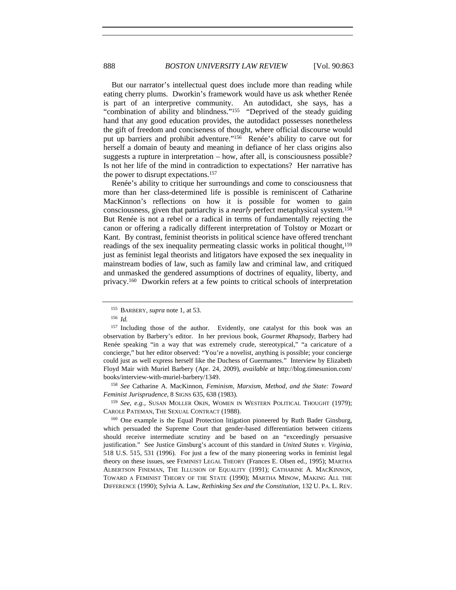But our narrator's intellectual quest does include more than reading while eating cherry plums. Dworkin's framework would have us ask whether Renée is part of an interpretive community. An autodidact, she says, has a "combination of ability and blindness."155 "Deprived of the steady guiding hand that any good education provides, the autodidact possesses nonetheless the gift of freedom and conciseness of thought, where official discourse would put up barriers and prohibit adventure."156 Renée's ability to carve out for herself a domain of beauty and meaning in defiance of her class origins also suggests a rupture in interpretation – how, after all, is consciousness possible? Is not her life of the mind in contradiction to expectations? Her narrative has the power to disrupt expectations.<sup>157</sup>

Renée's ability to critique her surroundings and come to consciousness that more than her class-determined life is possible is reminiscent of Catharine MacKinnon's reflections on how it is possible for women to gain consciousness, given that patriarchy is a *nearly* perfect metaphysical system.158 But Renée is not a rebel or a radical in terms of fundamentally rejecting the canon or offering a radically different interpretation of Tolstoy or Mozart or Kant. By contrast, feminist theorists in political science have offered trenchant readings of the sex inequality permeating classic works in political thought,<sup>159</sup> just as feminist legal theorists and litigators have exposed the sex inequality in mainstream bodies of law, such as family law and criminal law, and critiqued and unmasked the gendered assumptions of doctrines of equality, liberty, and privacy.160 Dworkin refers at a few points to critical schools of interpretation

<sup>158</sup> *See* Catharine A. MacKinnon, *Feminism, Marxism, Method, and the State: Toward <i>Feminist Jurisprudence*, 8 SIGNS 635, 638 (1983).

<sup>159</sup> *See, e.g.*, SUSAN MOLLER OKIN, WOMEN IN WESTERN POLITICAL THOUGHT (1979); CAROLE PATEMAN, THE SEXUAL CONTRACT (1988).

<sup>160</sup> One example is the Equal Protection litigation pioneered by Ruth Bader Ginsburg, which persuaded the Supreme Court that gender-based differentiation between citizens should receive intermediate scrutiny and be based on an "exceedingly persuasive justification." See Justice Ginsburg's account of this standard in *United States v. Virginia*, 518 U.S. 515, 531 (1996). For just a few of the many pioneering works in feminist legal theory on these issues, see FEMINIST LEGAL THEORY (Frances E. Olsen ed., 1995); MARTHA ALBERTSON FINEMAN, THE ILLUSION OF EQUALITY (1991); CATHARINE A. MACKINNON, TOWARD A FEMINIST THEORY OF THE STATE (1990); MARTHA MINOW, MAKING ALL THE DIFFERENCE (1990); Sylvia A. Law, *Rethinking Sex and the Constitution*, 132 U. PA. L. REV.

<sup>155</sup> BARBERY, *supra* note 1, at 53.

<sup>156</sup> *Id.*

<sup>&</sup>lt;sup>157</sup> Including those of the author. Evidently, one catalyst for this book was an observation by Barbery's editor. In her previous book, *Gourmet Rhapsody*, Barbery had Renée speaking "in a way that was extremely crude, stereotypical," "a caricature of a concierge," but her editor observed: "You're a novelist, anything is possible; your concierge could just as well express herself like the Duchess of Guermantes." Interview by Elizabeth Floyd Mair with Muriel Barbery (Apr. 24, 2009), *available at* http://blog.timesunion.com/ books/interview-with-muriel-barbery/1349.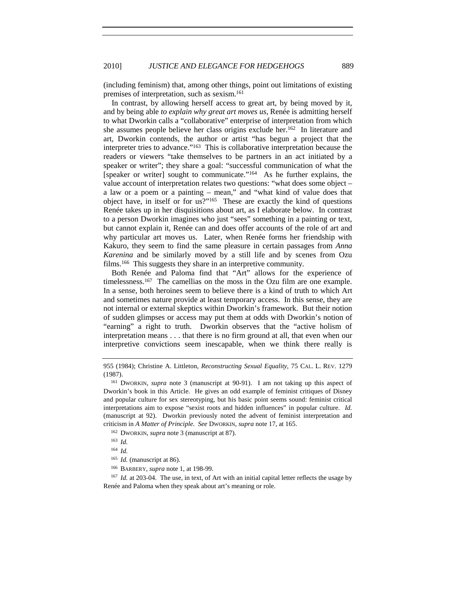(including feminism) that, among other things, point out limitations of existing premises of interpretation, such as sexism.161

In contrast, by allowing herself access to great art, by being moved by it, and by being able *to explain why great art moves us*, Renée is admitting herself to what Dworkin calls a "collaborative" enterprise of interpretation from which she assumes people believe her class origins exclude her.<sup>162</sup> In literature and art, Dworkin contends, the author or artist "has begun a project that the interpreter tries to advance."163 This is collaborative interpretation because the readers or viewers "take themselves to be partners in an act initiated by a speaker or writer"; they share a goal: "successful communication of what the [speaker or writer] sought to communicate."164 As he further explains, the value account of interpretation relates two questions: "what does some object – a law or a poem or a painting – mean," and "what kind of value does that object have, in itself or for us?"165 These are exactly the kind of questions Renée takes up in her disquisitions about art, as I elaborate below. In contrast to a person Dworkin imagines who just "sees" something in a painting or text, but cannot explain it, Renée can and does offer accounts of the role of art and why particular art moves us. Later, when Renée forms her friendship with Kakuro, they seem to find the same pleasure in certain passages from *Anna Karenina* and be similarly moved by a still life and by scenes from Ozu films.<sup>166</sup> This suggests they share in an interpretive community.

Both Renée and Paloma find that "Art" allows for the experience of timelessness.<sup>167</sup> The camellias on the moss in the Ozu film are one example. In a sense, both heroines seem to believe there is a kind of truth to which Art and sometimes nature provide at least temporary access. In this sense, they are not internal or external skeptics within Dworkin's framework. But their notion of sudden glimpses or access may put them at odds with Dworkin's notion of "earning" a right to truth. Dworkin observes that the "active holism of interpretation means . . . that there is no firm ground at all, that even when our interpretive convictions seem inescapable, when we think there really is

- <sup>162</sup> DWORKIN, *supra* note 3 (manuscript at 87).
- <sup>163</sup> *Id.*
- <sup>164</sup> *Id.*

<sup>166</sup> BARBERY, *supra* note 1, at 198-99.<br><sup>167</sup> *Id.* at 203-04. The use, in text, of Art with an initial capital letter reflects the usage by Renée and Paloma when they speak about art's meaning or role.

<sup>955 (1984);</sup> Christine A. Littleton, *Reconstructing Sexual Equality*, 75 CAL. L. REV. 1279 (1987).<br><sup>161</sup> DWORKIN, *supra* note 3 (manuscript at 90-91). I am not taking up this aspect of

Dworkin's book in this Article. He gives an odd example of feminist critiques of Disney and popular culture for sex stereotyping, but his basic point seems sound: feminist critical interpretations aim to expose "sexist roots and hidden influences" in popular culture. *Id.* (manuscript at 92). Dworkin previously noted the advent of feminist interpretation and criticism in *A Matter of Principle*. *See* DWORKIN, *supra* note 17, at 165.

<sup>165</sup> *Id.* (manuscript at 86).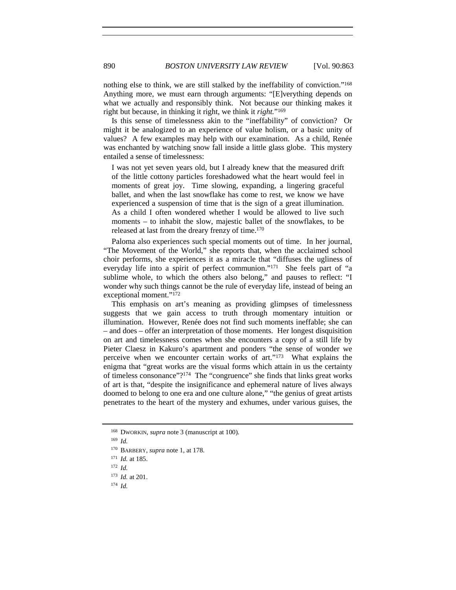nothing else to think, we are still stalked by the ineffability of conviction."168 Anything more, we must earn through arguments: "[E]verything depends on what we actually and responsibly think. Not because our thinking makes it right but because, in thinking it right, we think it *right.*"169

Is this sense of timelessness akin to the "ineffability" of conviction? Or might it be analogized to an experience of value holism, or a basic unity of values? A few examples may help with our examination. As a child, Renée was enchanted by watching snow fall inside a little glass globe. This mystery entailed a sense of timelessness:

I was not yet seven years old, but I already knew that the measured drift of the little cottony particles foreshadowed what the heart would feel in moments of great joy. Time slowing, expanding, a lingering graceful ballet, and when the last snowflake has come to rest, we know we have experienced a suspension of time that is the sign of a great illumination. As a child I often wondered whether I would be allowed to live such moments – to inhabit the slow, majestic ballet of the snowflakes, to be released at last from the dreary frenzy of time.170

Paloma also experiences such special moments out of time. In her journal, "The Movement of the World," she reports that, when the acclaimed school choir performs, she experiences it as a miracle that "diffuses the ugliness of everyday life into a spirit of perfect communion."171 She feels part of "a sublime whole, to which the others also belong," and pauses to reflect: "I wonder why such things cannot be the rule of everyday life, instead of being an exceptional moment."172

This emphasis on art's meaning as providing glimpses of timelessness suggests that we gain access to truth through momentary intuition or illumination. However, Renée does not find such moments ineffable; she can – and does – offer an interpretation of those moments. Her longest disquisition on art and timelessness comes when she encounters a copy of a still life by Pieter Claesz in Kakuro's apartment and ponders "the sense of wonder we perceive when we encounter certain works of art."173 What explains the enigma that "great works are the visual forms which attain in us the certainty of timeless consonance"?174 The "congruence" she finds that links great works of art is that, "despite the insignificance and ephemeral nature of lives always doomed to belong to one era and one culture alone," "the genius of great artists penetrates to the heart of the mystery and exhumes, under various guises, the

<sup>168</sup> DWORKIN, *supra* note 3 (manuscript at 100).

<sup>169</sup> *Id.*

<sup>170</sup> BARBERY, *supra* note 1, at 178.

<sup>171</sup> *Id.* at 185.

<sup>172</sup> *Id.*

<sup>173</sup> *Id.* at 201.

<sup>174</sup> *Id.*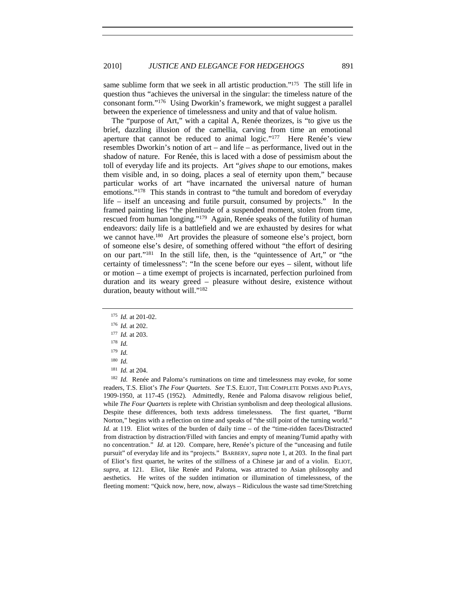same sublime form that we seek in all artistic production."<sup>175</sup> The still life in question thus "achieves the universal in the singular: the timeless nature of the consonant form."176 Using Dworkin's framework, we might suggest a parallel between the experience of timelessness and unity and that of value holism.

The "purpose of Art," with a capital A, Renée theorizes, is "to give us the brief, dazzling illusion of the camellia, carving from time an emotional aperture that cannot be reduced to animal logic."<sup>177</sup> Here Renée's view resembles Dworkin's notion of art – and life – as performance, lived out in the shadow of nature. For Renée, this is laced with a dose of pessimism about the toll of everyday life and its projects. Art "*gives shape* to our emotions, makes them visible and, in so doing, places a seal of eternity upon them," because particular works of art "have incarnated the universal nature of human emotions."178 This stands in contrast to "the tumult and boredom of everyday life – itself an unceasing and futile pursuit, consumed by projects." In the framed painting lies "the plenitude of a suspended moment, stolen from time, rescued from human longing."179 Again, Renée speaks of the futility of human endeavors: daily life is a battlefield and we are exhausted by desires for what we cannot have.<sup>180</sup> Art provides the pleasure of someone else's project, born of someone else's desire, of something offered without "the effort of desiring on our part."181 In the still life, then, is the "quintessence of Art," or "the certainty of timelessness": "In the scene before our eyes – silent, without life or motion – a time exempt of projects is incarnated, perfection purloined from duration and its weary greed – pleasure without desire, existence without duration, beauty without will."<sup>182</sup>

<sup>175</sup> *Id.* at 201-02.

<sup>182</sup> *Id.* Renée and Paloma's ruminations on time and timelessness may evoke, for some readers, T.S. Eliot's *The Four Quartets*. *See* T.S. ELIOT, THE COMPLETE POEMS AND PLAYS, 1909-1950, at 117-45 (1952). Admittedly, Renée and Paloma disavow religious belief, while *The Four Quartets* is replete with Christian symbolism and deep theological allusions. Despite these differences, both texts address timelessness. The first quartet, "Burnt Norton," begins with a reflection on time and speaks of "the still point of the turning world." *Id.* at 119. Eliot writes of the burden of daily time – of the "time-ridden faces/Distracted from distraction by distraction/Filled with fancies and empty of meaning/Tumid apathy with no concentration." *Id.* at 120. Compare, here, Renée's picture of the "unceasing and futile pursuit" of everyday life and its "projects." BARBERY, *supra* note 1, at 203. In the final part of Eliot's first quartet, he writes of the stillness of a Chinese jar and of a violin. ELIOT, *supra*, at 121. Eliot, like Renée and Paloma, was attracted to Asian philosophy and aesthetics. He writes of the sudden intimation or illumination of timelessness, of the fleeting moment: "Quick now, here, now, always – Ridiculous the waste sad time/Stretching

<sup>176</sup> *Id.* at 202.

<sup>177</sup> *Id.* at 203.

<sup>178</sup> *Id.*

<sup>179</sup> *Id.*

<sup>180</sup> *Id.*

<sup>181</sup> *Id.* at 204.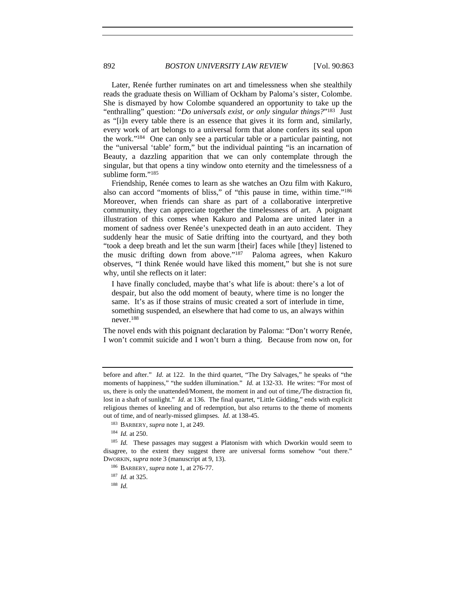Later, Renée further ruminates on art and timelessness when she stealthily reads the graduate thesis on William of Ockham by Paloma's sister, Colombe. She is dismayed by how Colombe squandered an opportunity to take up the "enthralling" question: "*Do universals exist, or only singular things?*"183 Just as "[i]n every table there is an essence that gives it its form and, similarly, every work of art belongs to a universal form that alone confers its seal upon the work."184 One can only see a particular table or a particular painting, not the "universal 'table' form," but the individual painting "is an incarnation of Beauty, a dazzling apparition that we can only contemplate through the singular, but that opens a tiny window onto eternity and the timelessness of a sublime form."<sup>185</sup>

Friendship, Renée comes to learn as she watches an Ozu film with Kakuro, also can accord "moments of bliss," of "this pause in time, within time."186 Moreover, when friends can share as part of a collaborative interpretive community, they can appreciate together the timelessness of art. A poignant illustration of this comes when Kakuro and Paloma are united later in a moment of sadness over Renée's unexpected death in an auto accident. They suddenly hear the music of Satie drifting into the courtyard, and they both "took a deep breath and let the sun warm [their] faces while [they] listened to the music drifting down from above."187 Paloma agrees, when Kakuro observes, "I think Renée would have liked this moment," but she is not sure why, until she reflects on it later:

I have finally concluded, maybe that's what life is about: there's a lot of despair, but also the odd moment of beauty, where time is no longer the same. It's as if those strains of music created a sort of interlude in time, something suspended, an elsewhere that had come to us, an always within never.188

The novel ends with this poignant declaration by Paloma: "Don't worry Renée, I won't commit suicide and I won't burn a thing. Because from now on, for

<sup>187</sup> *Id.* at 325.

<sup>188</sup> *Id.*

before and after." *Id.* at 122. In the third quartet, "The Dry Salvages," he speaks of "the moments of happiness," "the sudden illumination." *Id.* at 132-33. He writes: "For most of us, there is only the unattended/Moment, the moment in and out of time,/The distraction fit, lost in a shaft of sunlight." *Id.* at 136. The final quartet, "Little Gidding," ends with explicit religious themes of kneeling and of redemption, but also returns to the theme of moments out of time, and of nearly-missed glimpses. *Id.* at 138-45.

<sup>183</sup> BARBERY, *supra* note 1, at 249.

<sup>184</sup> *Id.* at 250.

<sup>&</sup>lt;sup>185</sup> *Id.* These passages may suggest a Platonism with which Dworkin would seem to disagree, to the extent they suggest there are universal forms somehow "out there." DWORKIN, *supra* note 3 (manuscript at 9, 13).

<sup>186</sup> BARBERY, *supra* note 1, at 276-77.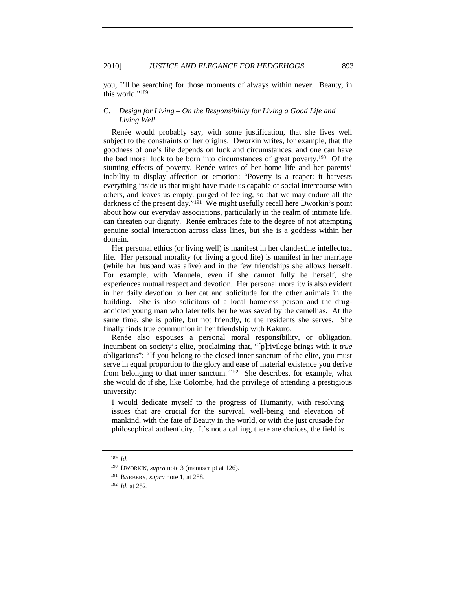you, I'll be searching for those moments of always within never. Beauty, in this world."189

# C. *Design for Living – On the Responsibility for Living a Good Life and Living Well*

Renée would probably say, with some justification, that she lives well subject to the constraints of her origins. Dworkin writes, for example, that the goodness of one's life depends on luck and circumstances, and one can have the bad moral luck to be born into circumstances of great poverty.<sup>190</sup> Of the stunting effects of poverty, Renée writes of her home life and her parents' inability to display affection or emotion: "Poverty is a reaper: it harvests everything inside us that might have made us capable of social intercourse with others, and leaves us empty, purged of feeling, so that we may endure all the darkness of the present day."<sup>191</sup> We might usefully recall here Dworkin's point about how our everyday associations, particularly in the realm of intimate life, can threaten our dignity. Renée embraces fate to the degree of not attempting genuine social interaction across class lines, but she is a goddess within her domain.

Her personal ethics (or living well) is manifest in her clandestine intellectual life. Her personal morality (or living a good life) is manifest in her marriage (while her husband was alive) and in the few friendships she allows herself. For example, with Manuela, even if she cannot fully be herself, she experiences mutual respect and devotion. Her personal morality is also evident in her daily devotion to her cat and solicitude for the other animals in the building. She is also solicitous of a local homeless person and the drugaddicted young man who later tells her he was saved by the camellias. At the same time, she is polite, but not friendly, to the residents she serves. She finally finds true communion in her friendship with Kakuro.

Renée also espouses a personal moral responsibility, or obligation, incumbent on society's elite, proclaiming that, "[p]rivilege brings with it *true* obligations": "If you belong to the closed inner sanctum of the elite, you must serve in equal proportion to the glory and ease of material existence you derive from belonging to that inner sanctum."192 She describes, for example, what she would do if she, like Colombe, had the privilege of attending a prestigious university:

I would dedicate myself to the progress of Humanity, with resolving issues that are crucial for the survival, well-being and elevation of mankind, with the fate of Beauty in the world, or with the just crusade for philosophical authenticity. It's not a calling, there are choices, the field is

<sup>189</sup> *Id.*

<sup>190</sup> DWORKIN, *supra* note 3 (manuscript at 126).

<sup>191</sup> BARBERY, *supra* note 1, at 288.

<sup>192</sup> *Id.* at 252.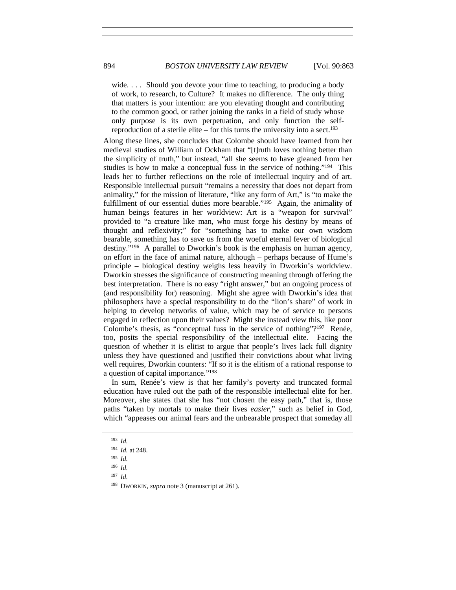wide. . . . Should you devote your time to teaching, to producing a body of work, to research, to Culture? It makes no difference. The only thing that matters is your intention: are you elevating thought and contributing to the common good, or rather joining the ranks in a field of study whose only purpose is its own perpetuation, and only function the selfreproduction of a sterile elite – for this turns the university into a sect.<sup>193</sup>

Along these lines, she concludes that Colombe should have learned from her medieval studies of William of Ockham that "[t]ruth loves nothing better than the simplicity of truth," but instead, "all she seems to have gleaned from her studies is how to make a conceptual fuss in the service of nothing."194 This leads her to further reflections on the role of intellectual inquiry and of art. Responsible intellectual pursuit "remains a necessity that does not depart from animality," for the mission of literature, "like any form of Art," is "to make the fulfillment of our essential duties more bearable."<sup>195</sup> Again, the animality of human beings features in her worldview: Art is a "weapon for survival" provided to "a creature like man, who must forge his destiny by means of thought and reflexivity;" for "something has to make our own wisdom bearable, something has to save us from the woeful eternal fever of biological destiny."196 A parallel to Dworkin's book is the emphasis on human agency, on effort in the face of animal nature, although – perhaps because of Hume's principle – biological destiny weighs less heavily in Dworkin's worldview. Dworkin stresses the significance of constructing meaning through offering the best interpretation. There is no easy "right answer," but an ongoing process of (and responsibility for) reasoning. Might she agree with Dworkin's idea that philosophers have a special responsibility to do the "lion's share" of work in helping to develop networks of value, which may be of service to persons engaged in reflection upon their values? Might she instead view this, like poor Colombe's thesis, as "conceptual fuss in the service of nothing"? $197$  Renée, too, posits the special responsibility of the intellectual elite. Facing the question of whether it is elitist to argue that people's lives lack full dignity unless they have questioned and justified their convictions about what living well requires, Dworkin counters: "If so it is the elitism of a rational response to a question of capital importance."198

In sum, Renée's view is that her family's poverty and truncated formal education have ruled out the path of the responsible intellectual elite for her. Moreover, she states that she has "not chosen the easy path," that is, those paths "taken by mortals to make their lives *easier*," such as belief in God, which "appeases our animal fears and the unbearable prospect that someday all

<sup>193</sup> *Id.*

<sup>194</sup> *Id.* at 248.

<sup>195</sup> *Id.*

<sup>196</sup> *Id.*

<sup>197</sup> *Id.*

<sup>198</sup> DWORKIN, *supra* note 3 (manuscript at 261).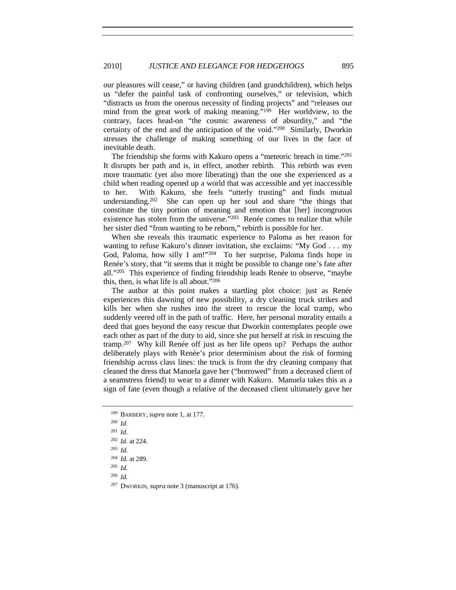our pleasures will cease," or having children (and grandchildren), which helps us "defer the painful task of confronting ourselves," or television, which "distracts us from the onerous necessity of finding projects" and "releases our mind from the great work of making meaning."199 Her worldview, to the contrary, faces head-on "the cosmic awareness of absurdity," and "the certainty of the end and the anticipation of the void."200 Similarly, Dworkin stresses the challenge of making something of our lives in the face of inevitable death.

The friendship she forms with Kakuro opens a "meteoric breach in time."201 It disrupts her path and is, in effect, another rebirth. This rebirth was even more traumatic (yet also more liberating) than the one she experienced as a child when reading opened up a world that was accessible and yet inaccessible to her. With Kakuro, she feels "utterly trusting" and finds mutual understanding.202 She can open up her soul and share "the things that constitute the tiny portion of meaning and emotion that [her] incongruous existence has stolen from the universe."<sup>203</sup> Renée comes to realize that while her sister died "from wanting to be reborn," rebirth is possible for her.

When she reveals this traumatic experience to Paloma as her reason for wanting to refuse Kakuro's dinner invitation, she exclaims: "My God . . . my God, Paloma, how silly I am!"204 To her surprise, Paloma finds hope in Renée's story, that "it seems that it might be possible to change one's fate after all."205 This experience of finding friendship leads Renée to observe, "maybe this, then, is what life is all about."206

The author at this point makes a startling plot choice: just as Renée experiences this dawning of new possibility, a dry cleaning truck strikes and kills her when she rushes into the street to rescue the local tramp, who suddenly veered off in the path of traffic. Here, her personal morality entails a deed that goes beyond the easy rescue that Dworkin contemplates people owe each other as part of the duty to aid, since she put herself at risk in rescuing the tramp.207 Why kill Renée off just as her life opens up? Perhaps the author deliberately plays with Renée's prior determinism about the risk of forming friendship across class lines: the truck is from the dry cleaning company that cleaned the dress that Manuela gave her ("borrowed" from a deceased client of a seamstress friend) to wear to a dinner with Kakuro. Manuela takes this as a sign of fate (even though a relative of the deceased client ultimately gave her

<sup>205</sup> *Id.*

<sup>206</sup> *Id.*

<sup>207</sup> DWORKIN, *supra* note 3 (manuscript at 176).

<sup>199</sup> BARBERY, *supra* note 1, at 177.

<sup>200</sup> *Id.*

<sup>201</sup> *Id.*

<sup>202</sup> *Id.* at 224.

<sup>203</sup> *Id.*

<sup>204</sup> *Id.* at 289.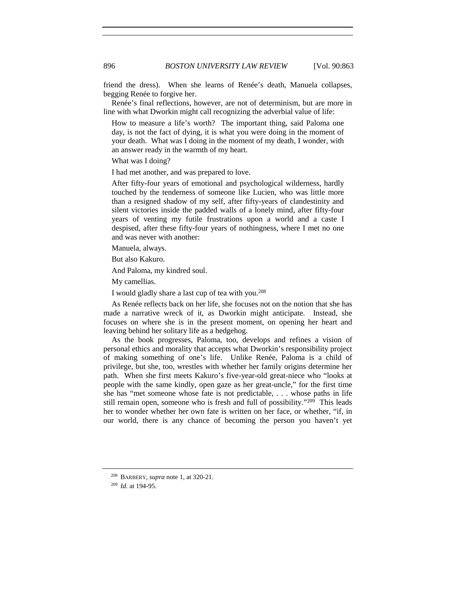friend the dress). When she learns of Renée's death, Manuela collapses, begging Renée to forgive her.

Renée's final reflections, however, are not of determinism, but are more in line with what Dworkin might call recognizing the adverbial value of life:

How to measure a life's worth? The important thing, said Paloma one day, is not the fact of dying, it is what you were doing in the moment of your death. What was I doing in the moment of my death, I wonder, with an answer ready in the warmth of my heart.

What was I doing?

I had met another, and was prepared to love.

After fifty-four years of emotional and psychological wilderness, hardly touched by the tenderness of someone like Lucien, who was little more than a resigned shadow of my self, after fifty-years of clandestinity and silent victories inside the padded walls of a lonely mind, after fifty-four years of venting my futile frustrations upon a world and a caste I despised, after these fifty-four years of nothingness, where I met no one and was never with another:

Manuela, always.

But also Kakuro.

And Paloma, my kindred soul.

My camellias.

I would gladly share a last cup of tea with you.208

As Renée reflects back on her life, she focuses not on the notion that she has made a narrative wreck of it, as Dworkin might anticipate. Instead, she focuses on where she is in the present moment, on opening her heart and leaving behind her solitary life as a hedgehog.

As the book progresses, Paloma, too, develops and refines a vision of personal ethics and morality that accepts what Dworkin's responsibility project of making something of one's life. Unlike Renée, Paloma is a child of privilege, but she, too, wrestles with whether her family origins determine her path. When she first meets Kakuro's five-year-old great-niece who "looks at people with the same kindly, open gaze as her great-uncle," for the first time she has "met someone whose fate is not predictable, . . . whose paths in life still remain open, someone who is fresh and full of possibility."209 This leads her to wonder whether her own fate is written on her face, or whether, "if, in our world, there is any chance of becoming the person you haven't yet

<sup>208</sup> BARBERY, *supra* note 1, at 320-21.

<sup>209</sup> *Id.* at 194-95.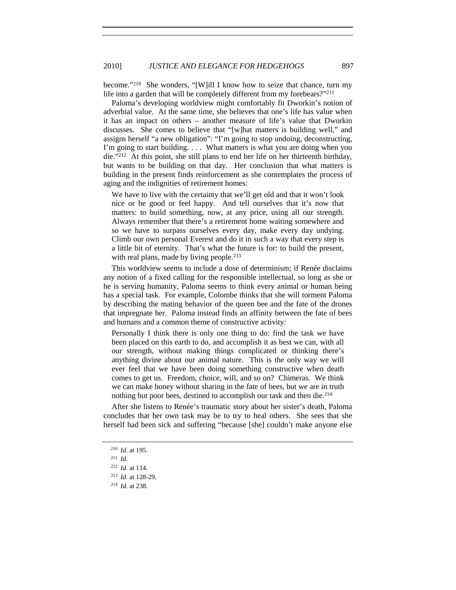become."210 She wonders, "[W]ill I know how to seize that chance, turn my life into a garden that will be completely different from my forebears?"<sup>211</sup>

Paloma's developing worldview might comfortably fit Dworkin's notion of adverbial value. At the same time, she believes that one's life has value when it has an impact on others – another measure of life's value that Dworkin discusses. She comes to believe that "[w]hat matters is building well," and assigns herself "a new obligation": "I'm going to stop undoing, deconstructing, I'm going to start building. . . . What matters is what you are doing when you die."212 At this point, she still plans to end her life on her thirteenth birthday, but wants to be building on that day. Her conclusion that what matters is building in the present finds reinforcement as she contemplates the process of aging and the indignities of retirement homes:

We have to live with the certainty that we'll get old and that it won't look nice or be good or feel happy. And tell ourselves that it's now that matters: to build something, now, at any price, using all our strength. Always remember that there's a retirement home waiting somewhere and so we have to surpass ourselves every day, make every day undying. Climb our own personal Everest and do it in such a way that every step is a little bit of eternity. That's what the future is for: to build the present, with real plans, made by living people.<sup>213</sup>

This worldview seems to include a dose of determinism; if Renée disclaims any notion of a fixed calling for the responsible intellectual, so long as she or he is serving humanity, Paloma seems to think every animal or human being has a special task. For example, Colombe thinks that she will torment Paloma by describing the mating behavior of the queen bee and the fate of the drones that impregnate her. Paloma instead finds an affinity between the fate of bees and humans and a common theme of constructive activity:

Personally I think there is only one thing to do: find the task we have been placed on this earth to do, and accomplish it as best we can, with all our strength, without making things complicated or thinking there's anything divine about our animal nature. This is the only way we will ever feel that we have been doing something constructive when death comes to get us. Freedom, choice, will, and so on? Chimeras. We think we can make honey without sharing in the fate of bees, but we are in truth nothing but poor bees, destined to accomplish our task and then die.214

After she listens to Renée's traumatic story about her sister's death, Paloma concludes that her own task may be to try to heal others. She sees that she herself had been sick and suffering "because [she] couldn't make anyone else

<sup>210</sup> *Id.* at 195.

<sup>211</sup> *Id.*

<sup>212</sup> *Id.* at 114.

<sup>213</sup> *Id.* at 128-29.

<sup>214</sup> *Id.* at 238.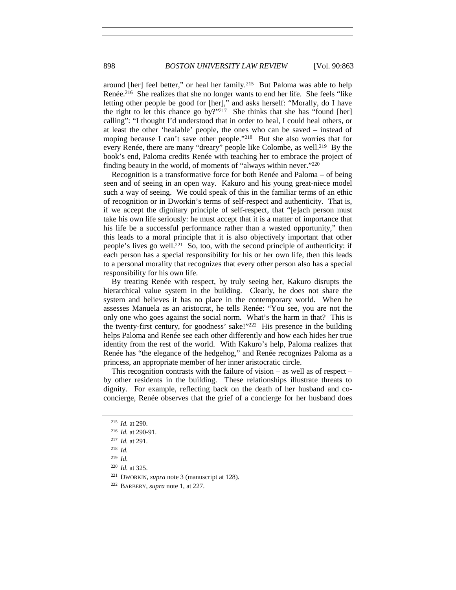around [her] feel better," or heal her family.215 But Paloma was able to help Renée.216 She realizes that she no longer wants to end her life. She feels "like letting other people be good for [her]," and asks herself: "Morally, do I have the right to let this chance go by?"217 She thinks that she has "found [her] calling": "I thought I'd understood that in order to heal, I could heal others, or at least the other 'healable' people, the ones who can be saved – instead of moping because I can't save other people."<sup>218</sup> But she also worries that for every Renée, there are many "dreary" people like Colombe, as well.<sup>219</sup> By the book's end, Paloma credits Renée with teaching her to embrace the project of finding beauty in the world, of moments of "always within never."220

Recognition is a transformative force for both Renée and Paloma – of being seen and of seeing in an open way. Kakuro and his young great-niece model such a way of seeing. We could speak of this in the familiar terms of an ethic of recognition or in Dworkin's terms of self-respect and authenticity. That is, if we accept the dignitary principle of self-respect, that "[e]ach person must take his own life seriously: he must accept that it is a matter of importance that his life be a successful performance rather than a wasted opportunity," then this leads to a moral principle that it is also objectively important that other people's lives go well.221 So, too, with the second principle of authenticity: if each person has a special responsibility for his or her own life, then this leads to a personal morality that recognizes that every other person also has a special responsibility for his own life.

By treating Renée with respect, by truly seeing her, Kakuro disrupts the hierarchical value system in the building. Clearly, he does not share the system and believes it has no place in the contemporary world. When he assesses Manuela as an aristocrat, he tells Renée: "You see, you are not the only one who goes against the social norm. What's the harm in that? This is the twenty-first century, for goodness' sake!"222 His presence in the building helps Paloma and Renée see each other differently and how each hides her true identity from the rest of the world. With Kakuro's help, Paloma realizes that Renée has "the elegance of the hedgehog," and Renée recognizes Paloma as a princess, an appropriate member of her inner aristocratic circle.

This recognition contrasts with the failure of vision – as well as of respect – by other residents in the building. These relationships illustrate threats to dignity. For example, reflecting back on the death of her husband and coconcierge, Renée observes that the grief of a concierge for her husband does

<sup>215</sup> *Id.* at 290.

<sup>216</sup> *Id.* at 290-91.

<sup>217</sup> *Id.* at 291.

<sup>218</sup> *Id.*

<sup>219</sup> *Id.*

<sup>220</sup> *Id.* at 325.

<sup>221</sup> DWORKIN, *supra* note 3 (manuscript at 128).

<sup>222</sup> BARBERY, *supra* note 1, at 227.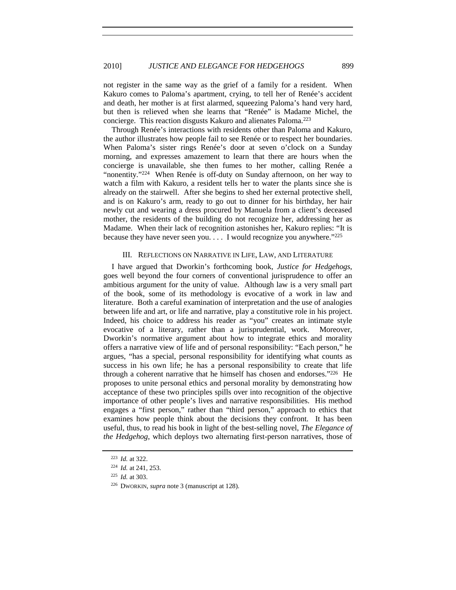not register in the same way as the grief of a family for a resident. When Kakuro comes to Paloma's apartment, crying, to tell her of Renée's accident and death, her mother is at first alarmed, squeezing Paloma's hand very hard, but then is relieved when she learns that "Renée" is Madame Michel, the concierge. This reaction disgusts Kakuro and alienates Paloma.223

Through Renée's interactions with residents other than Paloma and Kakuro, the author illustrates how people fail to see Renée or to respect her boundaries. When Paloma's sister rings Renée's door at seven o'clock on a Sunday morning, and expresses amazement to learn that there are hours when the concierge is unavailable, she then fumes to her mother, calling Renée a "nonentity."<sup>224</sup> When Renée is off-duty on Sunday afternoon, on her way to watch a film with Kakuro, a resident tells her to water the plants since she is already on the stairwell. After she begins to shed her external protective shell, and is on Kakuro's arm, ready to go out to dinner for his birthday, her hair newly cut and wearing a dress procured by Manuela from a client's deceased mother, the residents of the building do not recognize her, addressing her as Madame. When their lack of recognition astonishes her, Kakuro replies: "It is because they have never seen you. . . . I would recognize you anywhere."225

#### III. REFLECTIONS ON NARRATIVE IN LIFE, LAW, AND LITERATURE

I have argued that Dworkin's forthcoming book, *Justice for Hedgehogs*, goes well beyond the four corners of conventional jurisprudence to offer an ambitious argument for the unity of value. Although law is a very small part of the book, some of its methodology is evocative of a work in law and literature. Both a careful examination of interpretation and the use of analogies between life and art, or life and narrative, play a constitutive role in his project. Indeed, his choice to address his reader as "you" creates an intimate style evocative of a literary, rather than a jurisprudential, work. Moreover, Dworkin's normative argument about how to integrate ethics and morality offers a narrative view of life and of personal responsibility: "Each person," he argues, "has a special, personal responsibility for identifying what counts as success in his own life; he has a personal responsibility to create that life through a coherent narrative that he himself has chosen and endorses."226 He proposes to unite personal ethics and personal morality by demonstrating how acceptance of these two principles spills over into recognition of the objective importance of other people's lives and narrative responsibilities. His method engages a "first person," rather than "third person," approach to ethics that examines how people think about the decisions they confront. It has been useful, thus, to read his book in light of the best-selling novel, *The Elegance of the Hedgehog*, which deploys two alternating first-person narratives, those of

<sup>223</sup> *Id.* at 322.

<sup>224</sup> *Id.* at 241, 253.

<sup>225</sup> *Id.* at 303.

<sup>226</sup> DWORKIN, *supra* note 3 (manuscript at 128).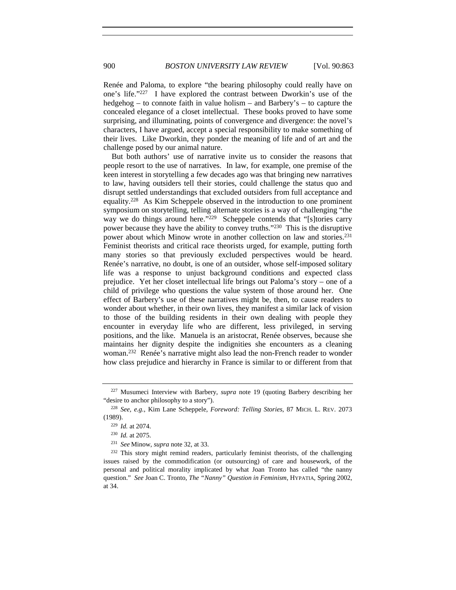Renée and Paloma, to explore "the bearing philosophy could really have on one's life."227 I have explored the contrast between Dworkin's use of the hedgehog – to connote faith in value holism – and Barbery's – to capture the concealed elegance of a closet intellectual. These books proved to have some surprising, and illuminating, points of convergence and divergence: the novel's characters, I have argued, accept a special responsibility to make something of their lives. Like Dworkin, they ponder the meaning of life and of art and the challenge posed by our animal nature.

But both authors' use of narrative invite us to consider the reasons that people resort to the use of narratives. In law, for example, one premise of the keen interest in storytelling a few decades ago was that bringing new narratives to law, having outsiders tell their stories, could challenge the status quo and disrupt settled understandings that excluded outsiders from full acceptance and equality.228 As Kim Scheppele observed in the introduction to one prominent symposium on storytelling, telling alternate stories is a way of challenging "the way we do things around here."<sup>229</sup> Scheppele contends that "[s]tories carry power because they have the ability to convey truths."230 This is the disruptive power about which Minow wrote in another collection on law and stories.<sup>231</sup> Feminist theorists and critical race theorists urged, for example, putting forth many stories so that previously excluded perspectives would be heard. Renée's narrative, no doubt, is one of an outsider, whose self-imposed solitary life was a response to unjust background conditions and expected class prejudice. Yet her closet intellectual life brings out Paloma's story – one of a child of privilege who questions the value system of those around her. One effect of Barbery's use of these narratives might be, then, to cause readers to wonder about whether, in their own lives, they manifest a similar lack of vision to those of the building residents in their own dealing with people they encounter in everyday life who are different, less privileged, in serving positions, and the like. Manuela is an aristocrat, Renée observes, because she maintains her dignity despite the indignities she encounters as a cleaning woman.232 Renée's narrative might also lead the non-French reader to wonder how class prejudice and hierarchy in France is similar to or different from that

<sup>227</sup> Musumeci Interview with Barbery, *supra* note 19 (quoting Barbery describing her "desire to anchor philosophy to a story").

<sup>228</sup> *See, e.g.*, Kim Lane Scheppele, *Foreword: Telling Stories*, 87 MICH. L. REV. 2073 (1989).

<sup>229</sup> *Id.* at 2074.

<sup>230</sup> *Id.* at 2075. 231 *See* Minow, *supra* note 32, at 33.

<sup>&</sup>lt;sup>232</sup> This story might remind readers, particularly feminist theorists, of the challenging issues raised by the commodification (or outsourcing) of care and housework, of the personal and political morality implicated by what Joan Tronto has called "the nanny question." *See* Joan C. Tronto, *The "Nanny" Question in Feminism*, HYPATIA, Spring 2002, at 34.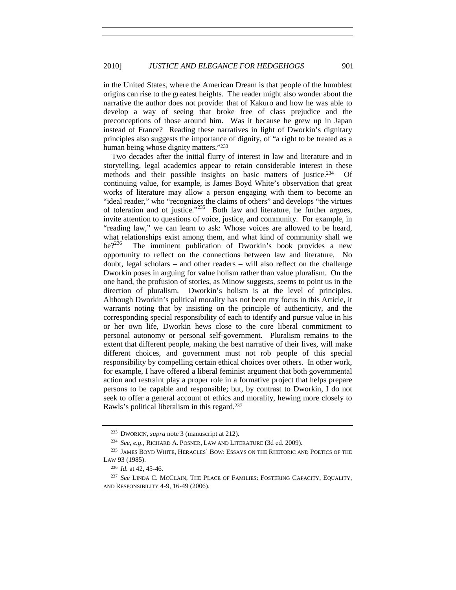in the United States, where the American Dream is that people of the humblest origins can rise to the greatest heights. The reader might also wonder about the narrative the author does not provide: that of Kakuro and how he was able to develop a way of seeing that broke free of class prejudice and the preconceptions of those around him. Was it because he grew up in Japan instead of France? Reading these narratives in light of Dworkin's dignitary principles also suggests the importance of dignity, of "a right to be treated as a human being whose dignity matters."233

Two decades after the initial flurry of interest in law and literature and in storytelling, legal academics appear to retain considerable interest in these methods and their possible insights on basic matters of justice.<sup>234</sup> Of continuing value, for example, is James Boyd White's observation that great works of literature may allow a person engaging with them to become an "ideal reader," who "recognizes the claims of others" and develops "the virtues of toleration and of justice."<sup>235</sup> Both law and literature, he further argues, invite attention to questions of voice, justice, and community. For example, in "reading law," we can learn to ask: Whose voices are allowed to be heard, what relationships exist among them, and what kind of community shall we be?<sup>236</sup> The imminent publication of Dworkin's book provides a new The imminent publication of Dworkin's book provides a new opportunity to reflect on the connections between law and literature. No doubt, legal scholars – and other readers – will also reflect on the challenge Dworkin poses in arguing for value holism rather than value pluralism. On the one hand, the profusion of stories, as Minow suggests, seems to point us in the direction of pluralism. Dworkin's holism is at the level of principles. Although Dworkin's political morality has not been my focus in this Article, it warrants noting that by insisting on the principle of authenticity, and the corresponding special responsibility of each to identify and pursue value in his or her own life, Dworkin hews close to the core liberal commitment to personal autonomy or personal self-government. Pluralism remains to the extent that different people, making the best narrative of their lives, will make different choices, and government must not rob people of this special responsibility by compelling certain ethical choices over others. In other work, for example, I have offered a liberal feminist argument that both governmental action and restraint play a proper role in a formative project that helps prepare persons to be capable and responsible; but, by contrast to Dworkin, I do not seek to offer a general account of ethics and morality, hewing more closely to Rawls's political liberalism in this regard.237

<sup>233</sup> DWORKIN, *supra* note 3 (manuscript at 212).

<sup>234</sup> *See, e.g.*, RICHARD A. POSNER, LAW AND LITERATURE (3d ed. 2009).

<sup>235</sup> JAMES BOYD WHITE, HERACLES' BOW: ESSAYS ON THE RHETORIC AND POETICS OF THE LAW 93 (1985).

<sup>&</sup>lt;sup>236</sup> *Id.* at 42, 45-46.<br><sup>237</sup> See LINDA C. MCCLAIN, THE PLACE OF FAMILIES: FOSTERING CAPACITY, EQUALITY, AND RESPONSIBILITY 4-9, 16-49 (2006).